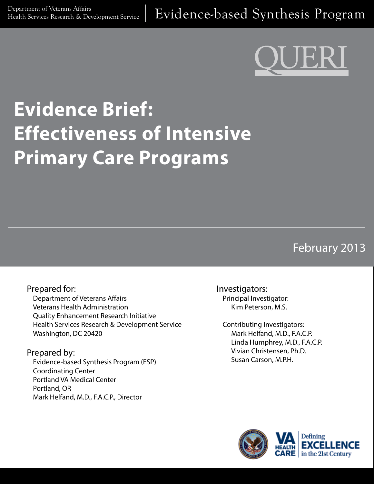# **Evidence Brief: Effectiveness of Intensive Primary Care Programs**

## February 2013

#### Prepared for: Department of Veterans Affairs Veterans Health Administration Quality Enhancement Research Initiative Health Services Research & Development Service Washington, DC 20420

Prepared by:

Evidence-based Synthesis Program (ESP) Coordinating Center Portland VA Medical Center Portland, OR Mark Helfand, M.D., F.A.C.P., Director

Investigators: Principal Investigator: Kim Peterson, M.S.

Contributing Investigators: Mark Helfand, M.D., F.A.C.P. Linda Humphrey, M.D., F.A.C.P. Vivian Christensen, Ph.D. Susan Carson, M.P.H.

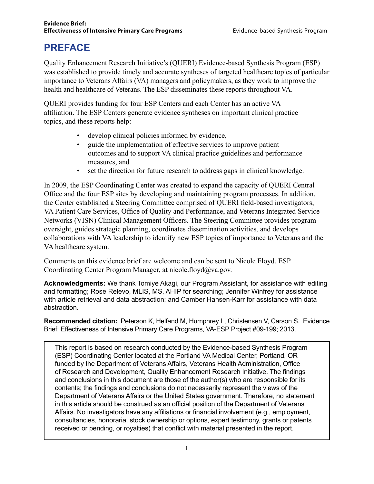### **PREFACE**

Quality Enhancement Research Initiative's (QUERI) Evidence-based Synthesis Program (ESP) was established to provide timely and accurate syntheses of targeted healthcare topics of particular importance to Veterans Affairs (VA) managers and policymakers, as they work to improve the health and healthcare of Veterans. The ESP disseminates these reports throughout VA.

QUERI provides funding for four ESP Centers and each Center has an active VA affiliation. The ESP Centers generate evidence syntheses on important clinical practice topics, and these reports help:

- develop clinical policies informed by evidence,
- guide the implementation of effective services to improve patient outcomes and to support VA clinical practice guidelines and performance measures, and
- set the direction for future research to address gaps in clinical knowledge.

In 2009, the ESP Coordinating Center was created to expand the capacity of QUERI Central Office and the four ESP sites by developing and maintaining program processes. In addition, the Center established a Steering Committee comprised of QUERI field-based investigators, VA Patient Care Services, Office of Quality and Performance, and Veterans Integrated Service Networks (VISN) Clinical Management Officers. The Steering Committee provides program oversight, guides strategic planning, coordinates dissemination activities, and develops collaborations with VA leadership to identify new ESP topics of importance to Veterans and the VA healthcare system.

Comments on this evidence brief are welcome and can be sent to Nicole Floyd, ESP Coordinating Center Program Manager, [at nicole.floyd@va.gov.](mailto:nicole.floyd@va.gov)

**Acknowledgments:** We thank Tomiye Akagi, our Program Assistant, for assistance with editing and formatting; Rose Relevo, MLIS, MS, AHIP for searching; Jennifer Winfrey for assistance with article retrieval and data abstraction; and Camber Hansen-Karr for assistance with data abstraction.

**Recommended citation:** Peterson K, Helfand M, Humphrey L, Christensen V, Carson S. Evidence Brief: Effectiveness of Intensive Primary Care Programs, VA-ESP Project #09-199; 2013.

This report is based on research conducted by the Evidence-based Synthesis Program (ESP) Coordinating Center located at the Portland VA Medical Center, Portland, OR funded by the Department of Veterans Affairs, Veterans Health Administration, Office of Research and Development, Quality Enhancement Research Initiative. The findings and conclusions in this document are those of the author(s) who are responsible for its contents; the findings and conclusions do not necessarily represent the views of the Department of Veterans Affairs or the United States government. Therefore, no statement in this article should be construed as an official position of the Department of Veterans Affairs. No investigators have any affiliations or financial involvement (e.g., employment, consultancies, honoraria, stock ownership or options, expert testimony, grants or patents received or pending, or royalties) that conflict with material presented in the report.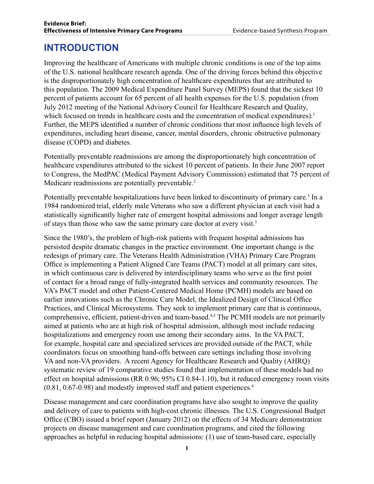### **INTRODUCTION**

Improving the healthcare of Americans with multiple chronic conditions is one of the top aims of the U.S. national healthcare research agenda. One of the driving forces behind this objective is the disproportionately high concentration of healthcare expenditures that are attributed to this population. The 2009 Medical Expenditure Panel Survey (MEPS) found that the sickest 10 percent of patients account for 65 percent of all health expenses for the U.S. population (from July 2012 meeting of the National Advisory Council for Healthcare Research and Quality, which focused on trends in healthcare costs and the concentration of medical expenditures).<sup>1</sup> Further, the MEPS identified a number of chronic conditions that most influence high levels of expenditures, including heart disease, cancer, mental disorders, chronic obstructive pulmonary disease (COPD) and diabetes.

Potentially preventable readmissions are among the disproportionately high concentration of healthcare expenditures attributed to the sickest 10 percent of patients. In their June 2007 report to Congress, the MedPAC (Medical Payment Advisory Commission) estimated that 75 percent of Medicare readmissions are potentially preventable.<sup>2</sup>

Potentially preventable hospitalizations have been linked to discontinuity of primary care.<sup>3</sup> In a 1984 randomized trial, elderly male Veterans who saw a different physician at each visit had a statistically significantly higher rate of emergent hospital admissions and longer average length of stays than those who saw the same primary care doctor at every visit.3

Since the 1980's, the problem of high-risk patients with frequent hospital admissions has persisted despite dramatic changes in the practice environment. One important change is the redesign of primary care. The Veterans Health Administration (VHA) Primary Care Program Office is implementing a Patient Aligned Care Teams (PACT) model at all primary care sites, in which continuous care is delivered by interdisciplinary teams who serve as the first point of contact for a broad range of fully-integrated health services and community resources. The VA's PACT model and other Patient-Centered Medical Home (PCMH) models are based on earlier innovations such as the Chronic Care Model, the Idealized Design of Clinical Office Practices, and Clinical Microsystems. They seek to implement primary care that is continuous, comprehensive, efficient, patient-driven and team-based.4,5 The PCMH models are not primarily aimed at patients who are at high risk of hospital admission, although most include reducing hospitalizations and emergency room use among their secondary aims. In the VA PACT, for example, hospital care and specialized services are provided outside of the PACT, while coordinators focus on smoothing hand-offs between care settings including those involving VA and non-VA providers. A recent Agency for Healthcare Research and Quality (AHRQ) systematic review of 19 comparative studies found that implementation of these models had no effect on hospital admissions (RR 0.96; 95% CI 0.84-1.10), but it reduced emergency room visits  $(0.81, 0.67-0.98)$  and modestly improved staff and patient experiences.<sup>6</sup>

Disease management and care coordination programs have also sought to improve the quality and delivery of care to patients with high-cost chronic illnesses. The U.S. Congressional Budget Office (CBO) issued a brief report (January 2012) on the effects of 34 Medicare demonstration projects on disease management and care coordination programs, and cited the following approaches as helpful in reducing hospital admissions: (1) use of team-based care, especially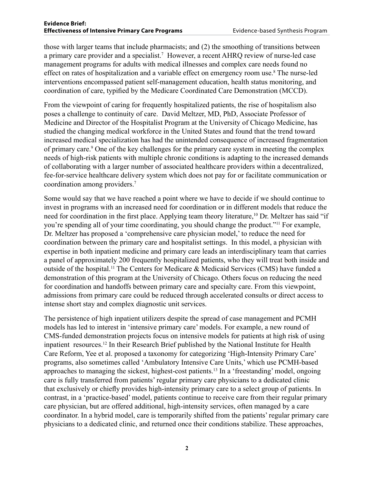those with larger teams that include pharmacists; and (2) the smoothing of transitions between a primary care provider and a specialist.<sup>7</sup> However, a recent AHRQ review of nurse-led case management programs for adults with medical illnesses and complex care needs found no effect on rates of hospitalization and a variable effect on emergency room use.8 The nurse-led interventions encompassed patient self-management education, health status monitoring, and coordination of care, typified by the Medicare Coordinated Care Demonstration (MCCD).

From the viewpoint of caring for frequently hospitalized patients, the rise of hospitalism also poses a challenge to continuity of care. David Meltzer, MD, PhD, Associate Professor of Medicine and Director of the Hospitalist Program at the University of Chicago Medicine, has studied the changing medical workforce in the United States and found that the trend toward increased medical specialization has had the unintended consequence of increased fragmentation of primary care.<sup>9</sup> One of the key challenges for the primary care system in meeting the complex needs of high-risk patients with multiple chronic conditions is adapting to the increased demands of collaborating with a larger number of associated healthcare providers within a decentralized, fee-for-service healthcare delivery system which does not pay for or facilitate communication or coordination among providers.7

Some would say that we have reached a point where we have to decide if we should continue to invest in programs with an increased need for coordination or in different models that reduce the need for coordination in the first place. Applying team theory literature,<sup>10</sup> Dr. Meltzer has said "if you're spending all of your time coordinating, you should change the product."11 For example, Dr. Meltzer has proposed a 'comprehensive care physician model,' to reduce the need for coordination between the primary care and hospitalist settings. In this model, a physician with expertise in both inpatient medicine and primary care leads an interdisciplinary team that carries a panel of approximately 200 frequently hospitalized patients, who they will treat both inside and outside of the hospital.11 The Centers for Medicare & Medicaid Services (CMS) have funded a demonstration of this program at the University of Chicago. Others focus on reducing the need for coordination and handoffs between primary care and specialty care. From this viewpoint, admissions from primary care could be reduced through accelerated consults or direct access to intense short stay and complex diagnostic unit services.

The persistence of high inpatient utilizers despite the spread of case management and PCMH models has led to interest in 'intensive primary care' models. For example, a new round of CMS-funded demonstration projects focus on intensive models for patients at high risk of using inpatient resources.12 In their Research Brief published by the National Institute for Health Care Reform, Yee et al. proposed a taxonomy for categorizing 'High-Intensity Primary Care' programs, also sometimes called 'Ambulatory Intensive Care Units,' which use PCMH-based approaches to managing the sickest, highest-cost patients.13 In a 'freestanding' model, ongoing care is fully transferred from patients' regular primary care physicians to a dedicated clinic that exclusively or chiefly provides high-intensity primary care to a select group of patients. In contrast, in a 'practice-based' model, patients continue to receive care from their regular primary care physician, but are offered additional, high-intensity services, often managed by a care coordinator. In a hybrid model, care is temporarily shifted from the patients' regular primary care physicians to a dedicated clinic, and returned once their conditions stabilize. These approaches,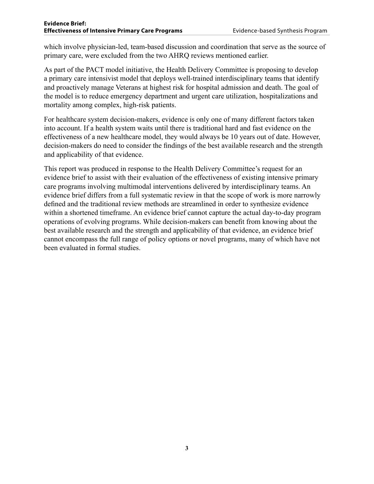which involve physician-led, team-based discussion and coordination that serve as the source of primary care, were excluded from the two AHRQ reviews mentioned earlier.

As part of the PACT model initiative, the Health Delivery Committee is proposing to develop a primary care intensivist model that deploys well-trained interdisciplinary teams that identify and proactively manage Veterans at highest risk for hospital admission and death. The goal of the model is to reduce emergency department and urgent care utilization, hospitalizations and mortality among complex, high-risk patients.

For healthcare system decision-makers, evidence is only one of many different factors taken into account. If a health system waits until there is traditional hard and fast evidence on the effectiveness of a new healthcare model, they would always be 10 years out of date. However, decision-makers do need to consider the findings of the best available research and the strength and applicability of that evidence.

This report was produced in response to the Health Delivery Committee's request for an evidence brief to assist with their evaluation of the effectiveness of existing intensive primary care programs involving multimodal interventions delivered by interdisciplinary teams. An evidence brief differs from a full systematic review in that the scope of work is more narrowly defined and the traditional review methods are streamlined in order to synthesize evidence within a shortened timeframe. An evidence brief cannot capture the actual day-to-day program operations of evolving programs. While decision-makers can benefit from knowing about the best available research and the strength and applicability of that evidence, an evidence brief cannot encompass the full range of policy options or novel programs, many of which have not been evaluated in formal studies.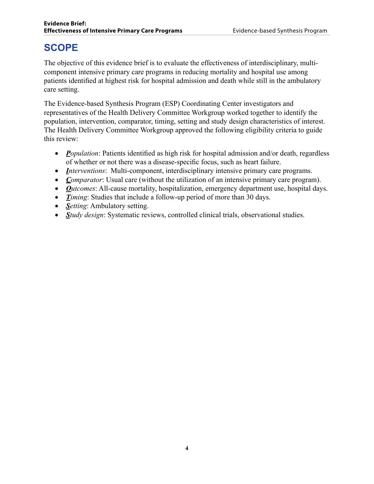### **SCOPE**

The objective of this evidence brief is to evaluate the effectiveness of interdisciplinary, multicomponent intensive primary care programs in reducing mortality and hospital use among patients identified at highest risk for hospital admission and death while still in the ambulatory care setting.

The Evidence-based Synthesis Program (ESP) Coordinating Center investigators and representatives of the Health Delivery Committee Workgroup worked together to identify the population, intervention, comparator, timing, setting and study design characteristics of interest. The Health Delivery Committee Workgroup approved the following eligibility criteria to guide this review:

- *Population*: Patients identified as high risk for hospital admission and/or death, regardless of whether or not there was a disease-specific focus, such as heart failure.
- *Interventions*: Multi-component, interdisciplinary intensive primary care programs.
- *Comparator*: Usual care (without the utilization of an intensive primary care program).
- *Outcomes*: All-cause mortality, hospitalization, emergency department use, hospital days.
- *Timing*: Studies that include a follow-up period of more than 30 days.
- *Setting*: Ambulatory setting.
- *Study design*: Systematic reviews, controlled clinical trials, observational studies.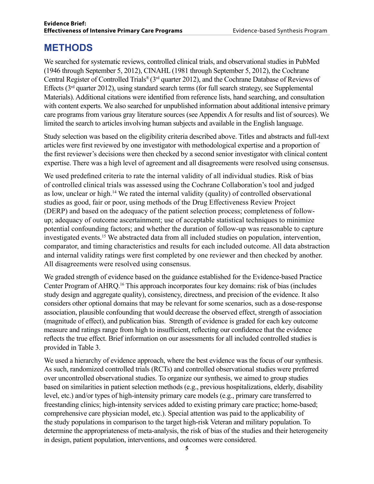### **METHODS**

We searched for systematic reviews, controlled clinical trials, and observational studies in PubMed (1946 through September 5, 2012), CINAHL (1981 through September 5, 2012), the Cochrane Central Register of Controlled Trials® (3rd quarter 2012), and the Cochrane Database of Reviews of Effects  $(3<sup>rd</sup>$  quarter 2012), using standard search terms (for full search strategy, see Supplemental Materials). Additional citations were identified from reference lists, hand searching, and consultation with content experts. We also searched for unpublished information about additional intensive primary care programs from various gray literature sources (see Appendix A for results and list of sources). We limited the search to articles involving human subjects and available in the English language.

Study selection was based on the eligibility criteria described above. Titles and abstracts and full-text articles were first reviewed by one investigator with methodological expertise and a proportion of the first reviewer's decisions were then checked by a second senior investigator with clinical content expertise. There was a high level of agreement and all disagreements were resolved using consensus.

We used predefined criteria to rate the internal validity of all individual studies. Risk of bias of controlled clinical trials was assessed using the Cochrane Collaboration's tool and judged as low, unclear or high.14 We rated the internal validity (quality) of controlled observational studies as good, fair or poor, using methods of the Drug Effectiveness Review Project (DERP) and based on the adequacy of the patient selection process; completeness of followup; adequacy of outcome ascertainment; use of acceptable statistical techniques to minimize potential confounding factors; and whether the duration of follow-up was reasonable to capture investigated events.15 We abstracted data from all included studies on population, intervention, comparator, and timing characteristics and results for each included outcome. All data abstraction and internal validity ratings were first completed by one reviewer and then checked by another. All disagreements were resolved using consensus.

We graded strength of evidence based on the guidance established for the Evidence-based Practice Center Program of AHRQ.16 This approach incorporates four key domains: risk of bias (includes study design and aggregate quality), consistency, directness, and precision of the evidence. It also considers other optional domains that may be relevant for some scenarios, such as a dose-response association, plausible confounding that would decrease the observed effect, strength of association (magnitude of effect), and publication bias. Strength of evidence is graded for each key outcome measure and ratings range from high to insufficient, reflecting our confidence that the evidence reflects the true effect. Brief information on our assessments for all included controlled studies is provided in Table 3.

We used a hierarchy of evidence approach, where the best evidence was the focus of our synthesis. As such, randomized controlled trials (RCTs) and controlled observational studies were preferred over uncontrolled observational studies. To organize our synthesis, we aimed to group studies based on similarities in patient selection methods (e.g., previous hospitalizations, elderly, disability level, etc.) and/or types of high-intensity primary care models (e.g., primary care transferred to freestanding clinics; high-intensity services added to existing primary care practice; home-based; comprehensive care physician model, etc.). Special attention was paid to the applicability of the study populations in comparison to the target high-risk Veteran and military population. To determine the appropriateness of meta-analysis, the risk of bias of the studies and their heterogeneity in design, patient population, interventions, and outcomes were considered.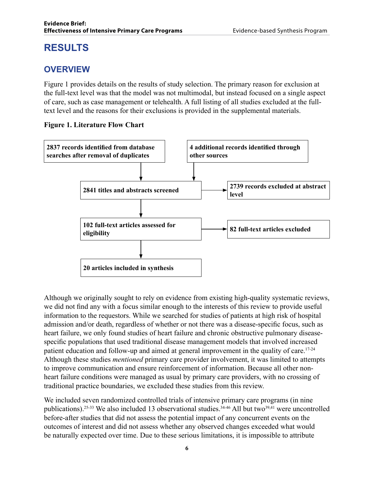### **RESULTS**

### **OVERVIEW**

Figure 1 provides details on the results of study selection. The primary reason for exclusion at the full-text level was that the model was not multimodal, but instead focused on a single aspect of care, such as case management or telehealth. A full listing of all studies excluded at the fulltext level and the reasons for their exclusions is provided in the supplemental materials.

#### **Figure 1. Literature Flow Chart**



Although we originally sought to rely on evidence from existing high-quality systematic reviews, we did not find any with a focus similar enough to the interests of this review to provide useful information to the requestors. While we searched for studies of patients at high risk of hospital admission and/or death, regardless of whether or not there was a disease-specific focus, such as heart failure, we only found studies of heart failure and chronic obstructive pulmonary diseasespecific populations that used traditional disease management models that involved increased patient education and follow-up and aimed at general improvement in the quality of care.<sup>17-24</sup> Although these studies *mentioned* primary care provider involvement, it was limited to attempts to improve communication and ensure reinforcement of information. Because all other nonheart failure conditions were managed as usual by primary care providers, with no crossing of traditional practice boundaries, we excluded these studies from this review.

We included seven randomized controlled trials of intensive primary care programs (in nine publications).<sup>25-33</sup> We also included 13 observational studies.<sup>34-46</sup> All but two<sup>39,41</sup> were uncontrolled before-after studies that did not assess the potential impact of any concurrent events on the outcomes of interest and did not assess whether any observed changes exceeded what would be naturally expected over time. Due to these serious limitations, it is impossible to attribute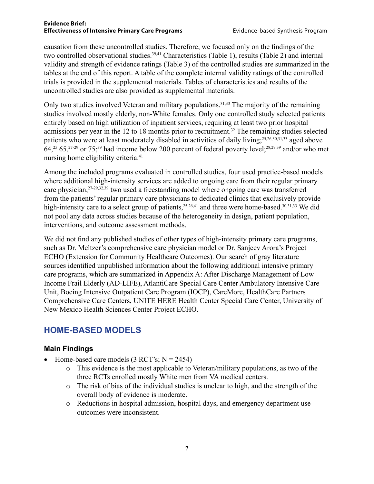#### **Evidence Brief: Effectiveness of Intensive Primary Care Programs** Evidence-based Synthesis Program

causation from these uncontrolled studies. Therefore, we focused only on the findings of the two controlled observational studies.<sup>39,41</sup> Characteristics (Table 1), results (Table 2) and internal validity and strength of evidence ratings (Table 3) of the controlled studies are summarized in the tables at the end of this report. A table of the complete internal validity ratings of the controlled trials is provided in the supplemental materials. Tables of characteristics and results of the uncontrolled studies are also provided as supplemental materials.

Only two studies involved Veteran and military populations.<sup>31,33</sup> The majority of the remaining studies involved mostly elderly, non-White females. Only one controlled study selected patients entirely based on high utilization of inpatient services, requiring at least two prior hospital admissions per year in the 12 to 18 months prior to recruitment.<sup>32</sup> The remaining studies selected patients who were at least moderately disabled in activities of daily living;25,26,30,31,33 aged above  $64,25$   $65,27-29$  or  $75,39$  had income below 200 percent of federal poverty level;  $28,29,39$  and/or who met nursing home eligibility criteria.<sup>41</sup>

Among the included programs evaluated in controlled studies, four used practice-based models where additional high-intensity services are added to ongoing care from their regular primary care physician,27-29,32,39 two used a freestanding model where ongoing care was transferred from the patients' regular primary care physicians to dedicated clinics that exclusively provide high-intensity care to a select group of patients,  $25,26,41$  and three were home-based.  $30,31,33$  We did not pool any data across studies because of the heterogeneity in design, patient population, interventions, and outcome assessment methods.

We did not find any published studies of other types of high-intensity primary care programs, such as Dr. Meltzer's comprehensive care physician model or Dr. Sanjeev Arora's Project ECHO (Extension for Community Healthcare Outcomes). Our search of gray literature sources identified unpublished information about the following additional intensive primary care programs, which are summarized in Appendix A: After Discharge Management of Low Income Frail Elderly (AD-LIFE), AtlantiCare Special Care Center Ambulatory Intensive Care Unit, Boeing Intensive Outpatient Care Program (IOCP), CareMore, HealthCare Partners Comprehensive Care Centers, UNITE HERE Health Center Special Care Center, University of New Mexico Health Sciences Center Project ECHO.

### **HOME-BASED MODELS**

#### **Main Findings**

- Home-based care models  $(3 RCT's; N = 2454)$ 
	- o This evidence is the most applicable to Veteran/military populations, as two of the three RCTs enrolled mostly White men from VA medical centers.
	- o The risk of bias of the individual studies is unclear to high, and the strength of the overall body of evidence is moderate.
	- o Reductions in hospital admission, hospital days, and emergency department use outcomes were inconsistent.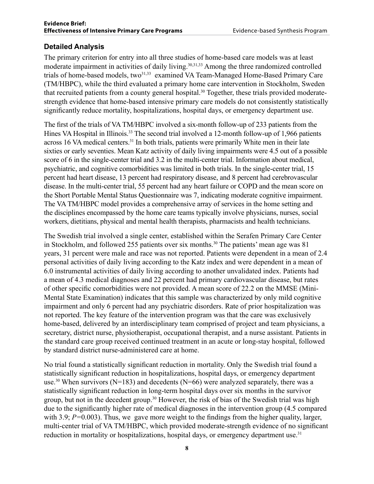#### **Detailed Analysis**

The primary criterion for entry into all three studies of home-based care models was at least moderate impairment in activities of daily living.<sup>30,31,33</sup> Among the three randomized controlled trials of home-based models, two<sup>31,33</sup> examined VA Team-Managed Home-Based Primary Care (TM/HBPC), while the third evaluated a primary home care intervention in Stockholm, Sweden that recruited patients from a county general hospital.30 Together, these trials provided moderatestrength evidence that home-based intensive primary care models do not consistently statistically significantly reduce mortality, hospitalizations, hospital days, or emergency department use.

The first of the trials of VA TM/HBPC involved a six-month follow-up of 233 patients from the Hines VA Hospital in Illinois.<sup>33</sup> The second trial involved a 12-month follow-up of 1,966 patients across 16 VA medical centers.<sup>31</sup> In both trials, patients were primarily White men in their late sixties or early seventies. Mean Katz activity of daily living impairments were 4.5 out of a possible score of 6 in the single-center trial and 3.2 in the multi-center trial. Information about medical, psychiatric, and cognitive comorbidities was limited in both trials. In the single-center trial, 15 percent had heart disease, 13 percent had respiratory disease, and 8 percent had cerebrovascular disease. In the multi-center trial, 55 percent had any heart failure or COPD and the mean score on the Short Portable Mental Status Questionnaire was 7, indicating moderate cognitive impairment. The VA TM/HBPC model provides a comprehensive array of services in the home setting and the disciplines encompassed by the home care teams typically involve physicians, nurses, social workers, dietitians, physical and mental health therapists, pharmacists and health technicians.

The Swedish trial involved a single center, established within the Serafen Primary Care Center in Stockholm, and followed 255 patients over six months.<sup>30</sup> The patients' mean age was 81 years, 31 percent were male and race was not reported. Patients were dependent in a mean of 2.4 personal activities of daily living according to the Katz index and were dependent in a mean of 6.0 instrumental activities of daily living according to another unvalidated index. Patients had a mean of 4.3 medical diagnoses and 22 percent had primary cardiovascular disease, but rates of other specific comorbidities were not provided. A mean score of 22.2 on the MMSE (Mini-Mental State Examination) indicates that this sample was characterized by only mild cognitive impairment and only 6 percent had any psychiatric disorders. Rate of prior hospitalization was not reported. The key feature of the intervention program was that the care was exclusively home-based, delivered by an interdisciplinary team comprised of project and team physicians, a secretary, district nurse, physiotherapist, occupational therapist, and a nurse assistant. Patients in the standard care group received continued treatment in an acute or long-stay hospital, followed by standard district nurse-administered care at home.

No trial found a statistically significant reduction in mortality. Only the Swedish trial found a statistically significant reduction in hospitalizations, hospital days, or emergency department use.<sup>30</sup> When survivors (N=183) and decedents (N=66) were analyzed separately, there was a statistically significant reduction in long-term hospital days over six months in the survivor group, but not in the decedent group.<sup>30</sup> However, the risk of bias of the Swedish trial was high due to the significantly higher rate of medical diagnoses in the intervention group (4.5 compared with 3.9; *P*=0.003). Thus, we gave more weight to the findings from the higher quality, larger, multi-center trial of VA TM/HBPC, which provided moderate-strength evidence of no significant reduction in mortality or hospitalizations, hospital days, or emergency department use.<sup>31</sup>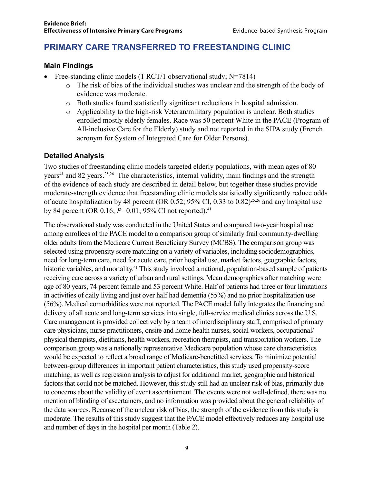### **PRIMARY CARE TRANSFERRED TO FREESTANDING CLINIC**

#### **Main Findings**

- Free-standing clinic models  $(1 RCT/1$  observational study; N=7814)
	- o The risk of bias of the individual studies was unclear and the strength of the body of evidence was moderate.
	- o Both studies found statistically significant reductions in hospital admission.
	- o Applicability to the high-risk Veteran/military population is unclear. Both studies enrolled mostly elderly females. Race was 50 percent White in the PACE (Program of All-inclusive Care for the Elderly) study and not reported in the SIPA study (French acronym for System of Integrated Care for Older Persons).

#### **Detailed Analysis**

Two studies of freestanding clinic models targeted elderly populations, with mean ages of 80 years<sup>41</sup> and 82 years.<sup>25,26</sup> The characteristics, internal validity, main findings and the strength of the evidence of each study are described in detail below, but together these studies provide moderate-strength evidence that freestanding clinic models statistically significantly reduce odds of acute hospitalization by 48 percent (OR 0.52; 95% CI, 0.33 to 0.82)25,26 and any hospital use by 84 percent (OR 0.16; *P=*0.01; 95% CI not reported).41

The observational study was conducted in the United States and compared two-year hospital use among enrollees of the PACE model to a comparison group of similarly frail community-dwelling older adults from the Medicare Current Beneficiary Survey (MCBS). The comparison group was selected using propensity score matching on a variety of variables, including sociodemographics, need for long-term care, need for acute care, prior hospital use, market factors, geographic factors, historic variables, and mortality.<sup>41</sup> This study involved a national, population-based sample of patients receiving care across a variety of urban and rural settings. Mean demographics after matching were age of 80 years, 74 percent female and 53 percent White. Half of patients had three or four limitations in activities of daily living and just over half had dementia (55%) and no prior hospitalization use (56%). Medical comorbidities were not reported. The PACE model fully integrates the financing and delivery of all acute and long-term services into single, full-service medical clinics across the U.S. Care management is provided collectively by a team of interdisciplinary staff, comprised of primary care physicians, nurse practitioners, onsite and home health nurses, social workers, occupational/ physical therapists, dietitians, health workers, recreation therapists, and transportation workers. The comparison group was a nationally representative Medicare population whose care characteristics would be expected to reflect a broad range of Medicare-benefitted services. To minimize potential between-group differences in important patient characteristics, this study used propensity-score matching, as well as regression analysis to adjust for additional market, geographic and historical factors that could not be matched. However, this study still had an unclear risk of bias, primarily due to concerns about the validity of event ascertainment. The events were not well-defined, there was no mention of blinding of ascertainers, and no information was provided about the general reliability of the data sources. Because of the unclear risk of bias, the strength of the evidence from this study is moderate. The results of this study suggest that the PACE model effectively reduces any hospital use and number of days in the hospital per month (Table 2).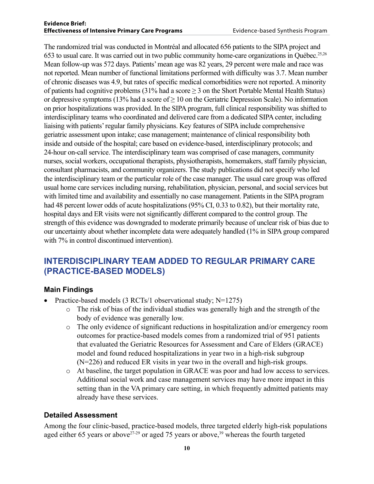#### **Evidence Brief: Effectiveness of Intensive Primary Care Programs** Evidence-based Synthesis Program

The randomized trial was conducted in Montréal and allocated 656 patients to the SIPA project and 653 to usual care. It was carried out in two public community home-care organizations in Québec.25,26 Mean follow-up was 572 days. Patients' mean age was 82 years, 29 percent were male and race was not reported. Mean number of functional limitations performed with difficulty was 3.7. Mean number of chronic diseases was 4.9, but rates of specific medical comorbidities were not reported. A minority of patients had cognitive problems (31% had a score  $\geq$  3 on the Short Portable Mental Health Status) or depressive symptoms (13% had a score of  $> 10$  on the Geriatric Depression Scale). No information on prior hospitalizations was provided. In the SIPA program, full clinical responsibility was shifted to interdisciplinary teams who coordinated and delivered care from a dedicated SIPA center, including liaising with patients' regular family physicians. Key features of SIPA include comprehensive geriatric assessment upon intake; case management; maintenance of clinical responsibility both inside and outside of the hospital; care based on evidence-based, interdisciplinary protocols; and 24-hour on-call service. The interdisciplinary team was comprised of case managers, community nurses, social workers, occupational therapists, physiotherapists, homemakers, staff family physician, consultant pharmacists, and community organizers. The study publications did not specify who led the interdisciplinary team or the particular role of the case manager. The usual care group was offered usual home care services including nursing, rehabilitation, physician, personal, and social services but with limited time and availability and essentially no case management. Patients in the SIPA program had 48 percent lower odds of acute hospitalizations (95% CI, 0.33 to 0.82), but their mortality rate, hospital days and ER visits were not significantly different compared to the control group. The strength of this evidence was downgraded to moderate primarily because of unclear risk of bias due to our uncertainty about whether incomplete data were adequately handled (1% in SIPA group compared with 7% in control discontinued intervention).

#### **INTERDISCIPLINARY TEAM ADDED TO REGULAR PRIMARY CARE (PRACTICE-BASED MODELS)**

#### **Main Findings**

- Practice-based models  $(3 RCTs/1$  observational study; N=1275)
	- o The risk of bias of the individual studies was generally high and the strength of the body of evidence was generally low.
	- o The only evidence of significant reductions in hospitalization and/or emergency room outcomes for practice-based models comes from a randomized trial of 951 patients that evaluated the Geriatric Resources for Assessment and Care of Elders (GRACE) model and found reduced hospitalizations in year two in a high-risk subgroup (N=226) and reduced ER visits in year two in the overall and high-risk groups.
	- o At baseline, the target population in GRACE was poor and had low access to services. Additional social work and case management services may have more impact in this setting than in the VA primary care setting, in which frequently admitted patients may already have these services.

#### **Detailed Assessment**

Among the four clinic-based, practice-based models, three targeted elderly high-risk populations aged either 65 years or above<sup>27-29</sup> or aged 75 years or above,<sup>39</sup> whereas the fourth targeted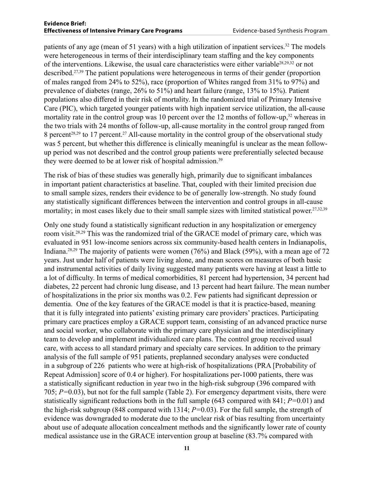patients of any age (mean of 51 years) with a high utilization of inpatient services.<sup>32</sup> The models were heterogeneous in terms of their interdisciplinary team staffing and the key components of the interventions. Likewise, the usual care characteristics were either variable28,29,32 or not described.27,39 The patient populations were heterogeneous in terms of their gender (proportion of males ranged from 24% to 52%), race (proportion of Whites ranged from 31% to 97%) and prevalence of diabetes (range, 26% to 51%) and heart failure (range, 13% to 15%). Patient populations also differed in their risk of mortality. In the randomized trial of Primary Intensive Care (PIC), which targeted younger patients with high inpatient service utilization, the all-cause mortality rate in the control group was 10 percent over the 12 months of follow-up,<sup>32</sup> whereas in the two trials with 24 months of follow-up, all-cause mortality in the control group ranged from 8 percent<sup>28,29</sup> to 17 percent.<sup>27</sup> All-cause mortality in the control group of the observational study was 5 percent, but whether this difference is clinically meaningful is unclear as the mean followup period was not described and the control group patients were preferentially selected because they were deemed to be at lower risk of hospital admission.<sup>39</sup>

The risk of bias of these studies was generally high, primarily due to significant imbalances in important patient characteristics at baseline. That, coupled with their limited precision due to small sample sizes, renders their evidence to be of generally low-strength. No study found any statistically significant differences between the intervention and control groups in all-cause mortality; in most cases likely due to their small sample sizes with limited statistical power.27,32,39

Only one study found a statistically significant reduction in any hospitalization or emergency room visit.28,29 This was the randomized trial of the GRACE model of primary care, which was evaluated in 951 low-income seniors across six community-based health centers in Indianapolis, Indiana.28,29 The majority of patients were women (76%) and Black (59%), with a mean age of 72 years. Just under half of patients were living alone, and mean scores on measures of both basic and instrumental activities of daily living suggested many patients were having at least a little to a lot of difficulty. In terms of medical comorbidities, 81 percent had hypertension, 34 percent had diabetes, 22 percent had chronic lung disease, and 13 percent had heart failure. The mean number of hospitalizations in the prior six months was 0.2. Few patients had significant depression or dementia. One of the key features of the GRACE model is that it is practice-based, meaning that it is fully integrated into patients' existing primary care providers' practices. Participating primary care practices employ a GRACE support team, consisting of an advanced practice nurse and social worker, who collaborate with the primary care physician and the interdisciplinary team to develop and implement individualized care plans. The control group received usual care, with access to all standard primary and specialty care services. In addition to the primary analysis of the full sample of 951 patients, preplanned secondary analyses were conducted in a subgroup of 226 patients who were at high-risk of hospitalizations (PRA [Probability of Repeat Admission] score of 0.4 or higher). For hospitalizations per-1000 patients, there was a statistically significant reduction in year two in the high-risk subgroup (396 compared with 705; *P=*0.03), but not for the full sample (Table 2). For emergency department visits, there were statistically significant reductions both in the full sample (643 compared with 841; *P=*0.01) and the high-risk subgroup (848 compared with 1314; *P=*0.03). For the full sample, the strength of evidence was downgraded to moderate due to the unclear risk of bias resulting from uncertainty about use of adequate allocation concealment methods and the significantly lower rate of county medical assistance use in the GRACE intervention group at baseline (83.7% compared with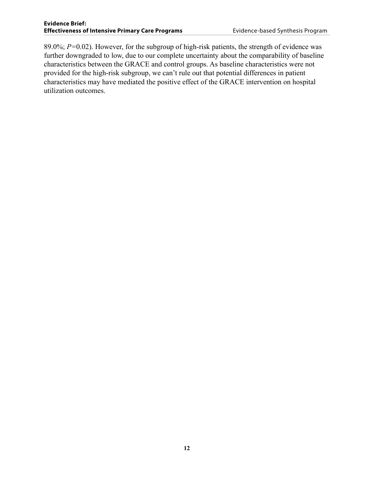89.0%; *P=*0.02). However, for the subgroup of high-risk patients, the strength of evidence was further downgraded to low, due to our complete uncertainty about the comparability of baseline characteristics between the GRACE and control groups. As baseline characteristics were not provided for the high-risk subgroup, we can't rule out that potential differences in patient characteristics may have mediated the positive effect of the GRACE intervention on hospital utilization outcomes.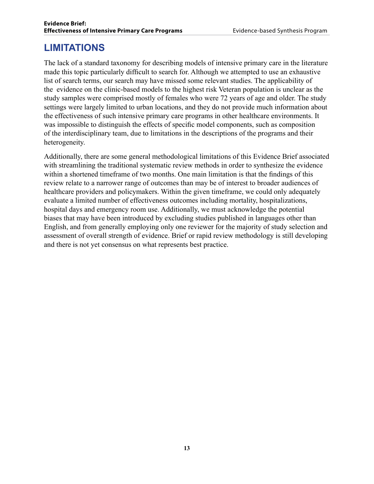### **LIMITATIONS**

The lack of a standard taxonomy for describing models of intensive primary care in the literature made this topic particularly difficult to search for. Although we attempted to use an exhaustive list of search terms, our search may have missed some relevant studies. The applicability of the evidence on the clinic-based models to the highest risk Veteran population is unclear as the study samples were comprised mostly of females who were 72 years of age and older. The study settings were largely limited to urban locations, and they do not provide much information about the effectiveness of such intensive primary care programs in other healthcare environments. It was impossible to distinguish the effects of specific model components, such as composition of the interdisciplinary team, due to limitations in the descriptions of the programs and their heterogeneity.

Additionally, there are some general methodological limitations of this Evidence Brief associated with streamlining the traditional systematic review methods in order to synthesize the evidence within a shortened timeframe of two months. One main limitation is that the findings of this review relate to a narrower range of outcomes than may be of interest to broader audiences of healthcare providers and policymakers. Within the given timeframe, we could only adequately evaluate a limited number of effectiveness outcomes including mortality, hospitalizations, hospital days and emergency room use. Additionally, we must acknowledge the potential biases that may have been introduced by excluding studies published in languages other than English, and from generally employing only one reviewer for the majority of study selection and assessment of overall strength of evidence. Brief or rapid review methodology is still developing and there is not yet consensus on what represents best practice.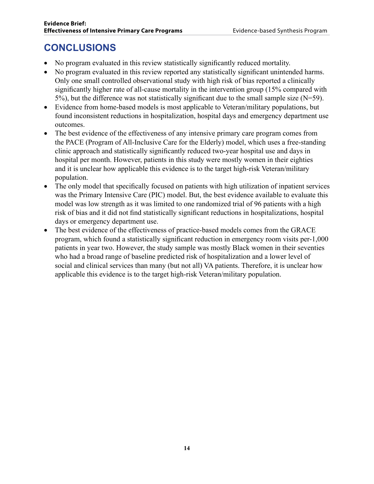### **CONCLUSIONS**

- No program evaluated in this review statistically significantly reduced mortality.
- No program evaluated in this review reported any statistically significant unintended harms. Only one small controlled observational study with high risk of bias reported a clinically significantly higher rate of all-cause mortality in the intervention group (15% compared with 5%), but the difference was not statistically significant due to the small sample size (N=59).
- Evidence from home-based models is most applicable to Veteran/military populations, but found inconsistent reductions in hospitalization, hospital days and emergency department use outcomes.
- The best evidence of the effectiveness of any intensive primary care program comes from the PACE (Program of All-Inclusive Care for the Elderly) model, which uses a free-standing clinic approach and statistically significantly reduced two-year hospital use and days in hospital per month. However, patients in this study were mostly women in their eighties and it is unclear how applicable this evidence is to the target high-risk Veteran/military population.
- The only model that specifically focused on patients with high utilization of inpatient services was the Primary Intensive Care (PIC) model. But, the best evidence available to evaluate this model was low strength as it was limited to one randomized trial of 96 patients with a high risk of bias and it did not find statistically significant reductions in hospitalizations, hospital days or emergency department use.
- The best evidence of the effectiveness of practice-based models comes from the GRACE program, which found a statistically significant reduction in emergency room visits per-1,000 patients in year two. However, the study sample was mostly Black women in their seventies who had a broad range of baseline predicted risk of hospitalization and a lower level of social and clinical services than many (but not all) VA patients. Therefore, it is unclear how applicable this evidence is to the target high-risk Veteran/military population.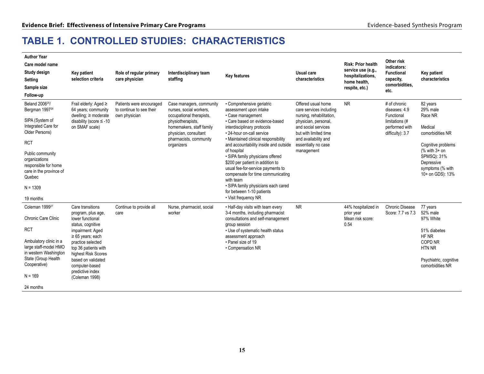### **TABLE 1. CONTROLLED STUDIES: CHARACTERISTICS**

| <b>Author Year</b><br>Care model name<br>Study design<br>Setting<br>Sample size<br>Follow-up                                                                                                                                                                     | Key patient<br>selection criteria                                                                                                                                                                                                                                              | Role of regular primary<br>care physician                             | Interdisciplinary team<br>staffing                                                                                                                                                                | <b>Key features</b>                                                                                                                                                                                                                                                                                                                                                                                                                                                                                                               | Usual care<br>characteristics                                                                                                                                                                                  | <b>Risk: Prior health</b><br>service use (e.g.,<br>hospitalizations,<br>home health,<br>respite, etc.) | Other risk<br>indicators:<br>Functional<br>capacity,<br>comorbidities,<br>etc.                      | <b>Key patient</b><br>characteristics                                                                                                                                         |
|------------------------------------------------------------------------------------------------------------------------------------------------------------------------------------------------------------------------------------------------------------------|--------------------------------------------------------------------------------------------------------------------------------------------------------------------------------------------------------------------------------------------------------------------------------|-----------------------------------------------------------------------|---------------------------------------------------------------------------------------------------------------------------------------------------------------------------------------------------|-----------------------------------------------------------------------------------------------------------------------------------------------------------------------------------------------------------------------------------------------------------------------------------------------------------------------------------------------------------------------------------------------------------------------------------------------------------------------------------------------------------------------------------|----------------------------------------------------------------------------------------------------------------------------------------------------------------------------------------------------------------|--------------------------------------------------------------------------------------------------------|-----------------------------------------------------------------------------------------------------|-------------------------------------------------------------------------------------------------------------------------------------------------------------------------------|
| Beland 2006 <sup>25</sup> /<br>Bergman 1997 <sup>26</sup><br>SIPA (System of<br>Integrated Care for<br>Older Persons)<br><b>RCT</b><br>Public community<br>organizations<br>responsible for home<br>care in the province of<br>Quebec<br>$N = 1309$<br>19 months | Frail elderly: Aged $\geq$<br>64 years; community<br>dwelling; $\geq$ moderate<br>disability (score $\leq$ -10<br>on SMAF scale)                                                                                                                                               | Patients were encouraged<br>to continue to see their<br>own physician | Case managers, community<br>nurses, social workers,<br>occupational therapists,<br>physiotherapists,<br>homemakers, staff family<br>physician, consultant<br>pharmacists, community<br>organizers | • Comprehensive geriatric<br>assessment upon intake<br>• Case management<br>• Care based on evidence-based<br>interdisciplinary protocols<br>• 24-hour on-call service<br>• Maintained clinical responsibility<br>and accountability inside and outside<br>of hospital<br>· SIPA family physicians offered<br>\$200 per patient in addition to<br>usual fee-for-service payments to<br>compensate for time communicating<br>with team<br>· SIPA family physicians each cared<br>for between 1-10 patients<br>• Visit frequency NR | Offered usual home<br>care services including<br>nursing, rehabilitation,<br>physician, personal,<br>and social services<br>but with limited time<br>and availability and<br>essentially no case<br>management | <b>NR</b>                                                                                              | # of chronic<br>diseases: 4.9<br>Functional<br>limitations (#<br>performed with<br>difficulty): 3.7 | 82 years<br>29% male<br>Race NR<br>Medical<br>comorbidities NR<br>Cognitive problems<br>$%$ with $3+$ on<br>SPMSQ): 31%<br>Depressive<br>symptoms (% with<br>10+ on GDS): 13% |
| Coleman 1999 <sup>27</sup><br>Chronic Care Clinic<br><b>RCT</b><br>Ambulatory clinic in a<br>large staff-model HMO<br>in western Washington<br>State (Group Health<br>Cooperative)<br>$N = 169$<br>24 months                                                     | Care transitions<br>program, plus age,<br>lower functional<br>status, cognitive<br>impairment: Aged<br>$\geq 65$ years; each<br>practice selected<br>top 36 patients with<br>highest Risk Scores<br>based on validated<br>computer-based<br>predictive index<br>(Coleman 1998) | Continue to provide all<br>care                                       | Nurse, pharmacist, social<br>worker                                                                                                                                                               | • Half-day visits with team every<br>3-4 months, including pharmacist<br>consultations and self-management<br>group session<br>• Use of systematic health status<br>assessment approach<br>• Panel size of 19<br>• Compensation NR                                                                                                                                                                                                                                                                                                | <b>NR</b>                                                                                                                                                                                                      | 44% hospitalized in<br>prior year<br>Mean risk score:<br>0.54                                          | Chronic Disease<br>Score: 7.7 vs 7.3                                                                | 77 years<br>52% male<br>97% White<br>51% diabetes<br>HF NR<br>COPD NR<br><b>HTN NR</b><br>Psychiatric, cognitive<br>comorbidities NR                                          |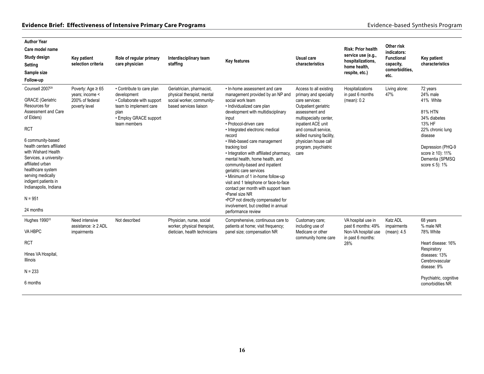| <b>Author Year</b><br>Care model name<br>Study design<br>Setting<br>Sample size<br>Follow-up                                                                                                                                                                                                                                                                            | Key patient<br>selection criteria                                             | Role of regular primary<br>care physician                                                                                                          | Interdisciplinary team<br>staffing                                                                             | <b>Key features</b>                                                                                                                                                                                                                                                                                                                                                                                                                                                                                                                                                                                                                                                         | Usual care<br>characteristics                                                                                                                                                                                                                                            | Risk: Prior health<br>service use (e.g.,<br>hospitalizations,<br>home health,<br>respite, etc.) | Other risk<br>indicators:<br><b>Functional</b><br>capacity,<br>comorbidities,<br>etc. | Key patient<br>characteristics                                                                                                                                                                |
|-------------------------------------------------------------------------------------------------------------------------------------------------------------------------------------------------------------------------------------------------------------------------------------------------------------------------------------------------------------------------|-------------------------------------------------------------------------------|----------------------------------------------------------------------------------------------------------------------------------------------------|----------------------------------------------------------------------------------------------------------------|-----------------------------------------------------------------------------------------------------------------------------------------------------------------------------------------------------------------------------------------------------------------------------------------------------------------------------------------------------------------------------------------------------------------------------------------------------------------------------------------------------------------------------------------------------------------------------------------------------------------------------------------------------------------------------|--------------------------------------------------------------------------------------------------------------------------------------------------------------------------------------------------------------------------------------------------------------------------|-------------------------------------------------------------------------------------------------|---------------------------------------------------------------------------------------|-----------------------------------------------------------------------------------------------------------------------------------------------------------------------------------------------|
| Counsell 2007 <sup>29</sup><br><b>GRACE</b> (Geriatric<br>Resources for<br>Assessment and Care<br>of Elders)<br><b>RCT</b><br>6 community-based<br>health centers affiliated<br>with Wishard Health<br>Services, a university-<br>affiliated urban<br>healthcare system<br>serving medically<br>indigent patients in<br>Indianapolis, Indiana<br>$N = 951$<br>24 months | Poverty: Age $\geq 65$<br>years; income <<br>200% of federal<br>poverty level | • Contribute to care plan<br>development<br>• Collaborate with support<br>team to implement care<br>plan<br>• Employ GRACE support<br>team members | Geriatrician, pharmacist,<br>physical therapist, mental<br>social worker, community-<br>based services liaison | . In-home assessment and care<br>management provided by an NP and<br>social work team<br>· Individualized care plan<br>development with multidisciplinary<br>input<br>· Protocol-driven care<br>· Integrated electronic medical<br>record<br>. Web-based care management<br>tracking tool<br>• Integration with affiliated pharmacy,<br>mental health, home health, and<br>community-based and inpatient<br>geriatric care services<br>. Minimum of 1 in-home follow-up<br>visit and 1 telephone or face-to-face<br>contact per month with support team<br>•Panel size NR<br>•PCP not directly compensated for<br>involvement, but credited in annual<br>performance review | Access to all existing<br>primary and specialty<br>care services:<br>Outpatient geriatric<br>assessment and<br>multispecialty center,<br>inpatient ACE unit<br>and consult service.<br>skilled nursing facility,<br>physician house call<br>program, psychiatric<br>care | Hospitalizations<br>in past 6 months<br>(mean): 0.2                                             | Living alone:<br>47%                                                                  | 72 years<br>24% male<br>41% White<br>81% HTN<br>34% diabetes<br>13% HF<br>22% chronic lung<br>disease<br>Depression (PHQ-9<br>score $\geq 10$ : 11%<br>Dementia (SPMSQ<br>score $\leq$ 5): 1% |
| Hughes 1990 <sup>33</sup>                                                                                                                                                                                                                                                                                                                                               | Need intensive                                                                | Not described                                                                                                                                      | Physician, nurse, social                                                                                       | Comprehensive, continuous care to                                                                                                                                                                                                                                                                                                                                                                                                                                                                                                                                                                                                                                           | Customary care;                                                                                                                                                                                                                                                          | VA hospital use in                                                                              | <b>Katz ADL</b>                                                                       | 68 years                                                                                                                                                                                      |
| VA HBPC                                                                                                                                                                                                                                                                                                                                                                 | assistance: $\geq 2$ ADL<br>impairments                                       | worker, physical therapist,<br>dietician, health technicians                                                                                       | patients at home; visit frequency;<br>panel size; compensation NR                                              | including use of<br>Medicare or other                                                                                                                                                                                                                                                                                                                                                                                                                                                                                                                                                                                                                                       | past 6 months: 49%<br>Non-VA hospital use                                                                                                                                                                                                                                | impairments<br>(mean): 4.5                                                                      | % male NR<br>78% White                                                                |                                                                                                                                                                                               |
| <b>RCT</b>                                                                                                                                                                                                                                                                                                                                                              |                                                                               |                                                                                                                                                    |                                                                                                                |                                                                                                                                                                                                                                                                                                                                                                                                                                                                                                                                                                                                                                                                             | community home care<br>in past 6 months:<br>28%                                                                                                                                                                                                                          |                                                                                                 | Heart disease: 16%                                                                    |                                                                                                                                                                                               |
| Hines VA Hospital,<br>Illinois                                                                                                                                                                                                                                                                                                                                          |                                                                               |                                                                                                                                                    |                                                                                                                |                                                                                                                                                                                                                                                                                                                                                                                                                                                                                                                                                                                                                                                                             |                                                                                                                                                                                                                                                                          |                                                                                                 |                                                                                       | Respiratory<br>diseases: 13%<br>Cerebrovascular<br>disease: 9%                                                                                                                                |
| $N = 233$                                                                                                                                                                                                                                                                                                                                                               |                                                                               |                                                                                                                                                    |                                                                                                                |                                                                                                                                                                                                                                                                                                                                                                                                                                                                                                                                                                                                                                                                             |                                                                                                                                                                                                                                                                          |                                                                                                 |                                                                                       | Psychiatric, cognitive                                                                                                                                                                        |
| 6 months                                                                                                                                                                                                                                                                                                                                                                |                                                                               |                                                                                                                                                    |                                                                                                                |                                                                                                                                                                                                                                                                                                                                                                                                                                                                                                                                                                                                                                                                             |                                                                                                                                                                                                                                                                          |                                                                                                 |                                                                                       | comorbidities NR                                                                                                                                                                              |
|                                                                                                                                                                                                                                                                                                                                                                         |                                                                               |                                                                                                                                                    |                                                                                                                |                                                                                                                                                                                                                                                                                                                                                                                                                                                                                                                                                                                                                                                                             |                                                                                                                                                                                                                                                                          |                                                                                                 |                                                                                       |                                                                                                                                                                                               |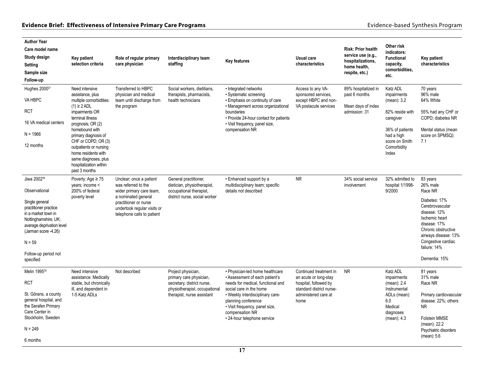| <b>Author Year</b><br>Care model name<br>Study design                                                                                                                                                                                    | Key patient                                                                                                                                                                                                                                                                                                                       | Role of regular primary                                                                                                                                                                 | Interdisciplinary team                                                                                                                     | <b>Key features</b>                                                                                                                                                                                                                                                              | Usual care                                                                                                                           | <b>Risk: Prior health</b><br>service use (e.g.,<br>hospitalizations,        | Other risk<br>indicators:<br>Functional                                                                                                           | Key patient                                                                                                                                                                                                                 |
|------------------------------------------------------------------------------------------------------------------------------------------------------------------------------------------------------------------------------------------|-----------------------------------------------------------------------------------------------------------------------------------------------------------------------------------------------------------------------------------------------------------------------------------------------------------------------------------|-----------------------------------------------------------------------------------------------------------------------------------------------------------------------------------------|--------------------------------------------------------------------------------------------------------------------------------------------|----------------------------------------------------------------------------------------------------------------------------------------------------------------------------------------------------------------------------------------------------------------------------------|--------------------------------------------------------------------------------------------------------------------------------------|-----------------------------------------------------------------------------|---------------------------------------------------------------------------------------------------------------------------------------------------|-----------------------------------------------------------------------------------------------------------------------------------------------------------------------------------------------------------------------------|
| Setting                                                                                                                                                                                                                                  | selection criteria                                                                                                                                                                                                                                                                                                                | care physician                                                                                                                                                                          | staffing                                                                                                                                   |                                                                                                                                                                                                                                                                                  | characteristics                                                                                                                      | home health,                                                                | capacity,<br>comorbidities,                                                                                                                       | characteristics                                                                                                                                                                                                             |
| Sample size                                                                                                                                                                                                                              |                                                                                                                                                                                                                                                                                                                                   |                                                                                                                                                                                         |                                                                                                                                            |                                                                                                                                                                                                                                                                                  |                                                                                                                                      | respite, etc.)                                                              | etc.                                                                                                                                              |                                                                                                                                                                                                                             |
| Follow-up                                                                                                                                                                                                                                |                                                                                                                                                                                                                                                                                                                                   |                                                                                                                                                                                         |                                                                                                                                            |                                                                                                                                                                                                                                                                                  |                                                                                                                                      |                                                                             |                                                                                                                                                   |                                                                                                                                                                                                                             |
| Hughes 2000 <sup>31</sup><br>VA HBPC<br>RCT<br>16 VA medical centers<br>$N = 1966$<br>12 months                                                                                                                                          | Need intensive<br>assistance, plus<br>multiple comorbidities:<br>$(1) \geq 2$ ADL<br>impairments OR<br>terminal illness<br>prognosis; OR (2)<br>homebound with<br>primary diagnosis of<br>CHF or COPD; OR (3)<br>outpatients or nursing<br>home residents with<br>same diagnoses, plus<br>hospitalization within<br>past 3 months | Transferred to HBPC<br>physician and medical<br>team until discharge from<br>the program                                                                                                | Social workers, dietitians,<br>therapists, pharmacists,<br>health technicians                                                              | • Integrated networks<br>· Systematic screening<br>• Emphasis on continuity of care<br>• Management across organizational<br>boundaries<br>• Provide 24-hour contact for patients<br>• Visit frequency, panel size,<br>compensation NR                                           | Access to any VA-<br>sponsored services.<br>except HBPC and non-<br>VA postacute services                                            | 89% hospitalized in<br>past 6 months<br>Mean days of index<br>admission: 31 | Katz ADL<br>impairments<br>(mean): 3.2<br>82% reside with<br>caregiver<br>36% of patients<br>had a high<br>score on Smith<br>Comorbidity<br>Index | 70 years<br>96% male<br>64% White<br>55% had any CHF or<br>COPD; diabetes NR<br>Mental status (mean<br>score on SPMSQ):<br>7.1                                                                                              |
| Jiwa 2002 <sup>39</sup><br>Observational<br>Single general<br>practitioner practice<br>in a market town in<br>Nottinghamshire, UK,<br>average deprivation level<br>(Jarman score -4.26)<br>$N = 59$<br>Follow-up period not<br>specified | Poverty: Age $\geq 75$<br>years; income <<br>200% of federal<br>poverty level                                                                                                                                                                                                                                                     | Unclear; once a patient<br>was referred to the<br>wider primary care team,<br>a nominated general<br>practitioner or nurse<br>undertook regular visits or<br>telephone calls to patient | General practitioner,<br>dietician, physiotherapist,<br>occupational therapist,<br>district nurse, social worker                           | • Enhanced support by a<br>multidisciplinary team; specific<br>details not described                                                                                                                                                                                             | <b>NR</b>                                                                                                                            | 34% social service<br>involvement                                           | 32% admitted to<br>hospital 1/1998-<br>9/2000                                                                                                     | 83 years<br>26% male<br>Race NR<br>Diabetes: 17%<br>Cerebrovascular<br>disease: 12%<br>Ischemic heart<br>disease: 17%<br>Chronic obstructive<br>airways disease: 13%<br>Congestive cardiac<br>failure: 14%<br>Dementia: 15% |
| Melin 1995 <sup>30</sup><br><b>RCT</b><br>St. Görans, a county<br>general hospital, and<br>the Serafen Primary<br>Care Center in<br>Stockholm, Sweden<br>$N = 249$<br>6 months                                                           | Need intensive<br>assistance: Medically<br>stable, but chronically<br>ill, and dependent in<br>1-5 Katz ADLs                                                                                                                                                                                                                      | Not described                                                                                                                                                                           | Project physician,<br>primary care physician,<br>secretary, district nurse,<br>physiotherapist, occupational<br>therapist, nurse assistant | • Physician-led home healthcare<br>• Assessment of each patient's<br>needs for medical, functional and<br>social care in the home<br>• Weekly interdisciplinary care-<br>planning conference<br>• Visit frequency, panel size,<br>compensation NR<br>• 24-hour telephone service | Continued treatment in<br>an acute or long-stay<br>hospital, followed by<br>standard district nurse-<br>administered care at<br>home | <b>NR</b>                                                                   | <b>Katz ADL</b><br>impairments<br>(mean): 2.4<br>Instrumental<br>ADLs (mean):<br>6.0<br>Medical<br>diagnoses<br>(mean): 4.3                       | 81 years<br>31% male<br>Race NR<br>Primary cardiovascular<br>disease: 22%; others<br><b>NR</b><br>Folstein MMSE<br>(mean): 22.2<br>Psychiatric disorders<br>(mean): 5.6                                                     |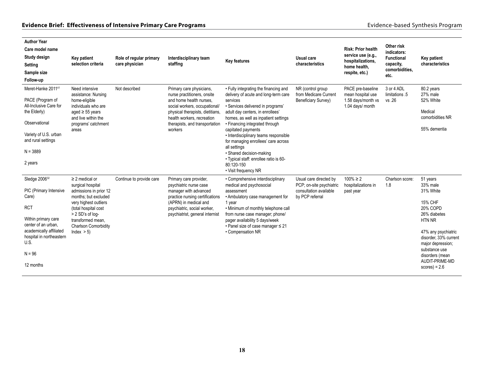| <b>Author Year</b><br>Care model name<br>Study design<br>Setting<br>Sample size<br>Follow-up                                                                                                                     | <b>Key patient</b><br>selection criteria                                                                                                                                                                                             | Role of regular primary<br>care physician | Interdisciplinary team<br>staffing                                                                                                                                                                                                 | <b>Key features</b>                                                                                                                                                                                                                                                                                                                                                                                                                                                            | <b>Usual care</b><br>characteristics                                                            | <b>Risk: Prior health</b><br>service use (e.g.,<br>hospitalizations,<br>home health,<br>respite, etc.) | Other risk<br>indicators:<br>Functional<br>capacity,<br>comorbidities,<br>etc. | Key patient<br>characteristics                                                                                                                                                                                                                  |
|------------------------------------------------------------------------------------------------------------------------------------------------------------------------------------------------------------------|--------------------------------------------------------------------------------------------------------------------------------------------------------------------------------------------------------------------------------------|-------------------------------------------|------------------------------------------------------------------------------------------------------------------------------------------------------------------------------------------------------------------------------------|--------------------------------------------------------------------------------------------------------------------------------------------------------------------------------------------------------------------------------------------------------------------------------------------------------------------------------------------------------------------------------------------------------------------------------------------------------------------------------|-------------------------------------------------------------------------------------------------|--------------------------------------------------------------------------------------------------------|--------------------------------------------------------------------------------|-------------------------------------------------------------------------------------------------------------------------------------------------------------------------------------------------------------------------------------------------|
| Meret-Hanke 201141<br>PACE (Program of<br>All-Inclusive Care for<br>the Elderly)<br>Observational<br>Variety of U.S. urban<br>and rural settings<br>$N = 3889$<br>2 years                                        | Need intensive<br>assistance: Nursing<br>home-eligible<br>individuals who are<br>aged $\geq$ 55 years<br>and live within the<br>programs' catchment<br>areas                                                                         | Not described                             | Primary care physicians,<br>nurse practitioners, onsite<br>and home health nurses.<br>social workers, occupational/<br>physical therapists, dietitians,<br>health workers, recreation<br>therapists, and transportation<br>workers | • Fully integrating the financing and<br>delivery of acute and long-term care<br>services<br>· Services delivered in programs'<br>adult day centers, in enrollees'<br>homes, as well as inpatient settings<br>• Financing integrated through<br>capitated payments<br>• Interdisciplinary teams responsible<br>for managing enrollees' care across<br>all settings<br>· Shared decision-making<br>· Typical staff: enrollee ratio is 60-<br>80:120-150<br>• Visit frequency NR | NR (control group<br>from Medicare Current<br><b>Beneficiary Survey)</b>                        | PACE pre-baseline<br>mean hospital use<br>1.58 days/month vs<br>1.04 days/ month                       | 3 or 4 ADL<br>limitations .5<br>vs.26                                          | 80.2 years<br>27% male<br>52% White<br>Medical<br>comorbidities NR<br>55% dementia                                                                                                                                                              |
| Sledge 2006 <sup>32</sup><br>PIC (Primary Intensive<br>Care)<br><b>RCT</b><br>Within primary care<br>center of an urban,<br>academically affiliated<br>hospital in northeastern<br>U.S.<br>$N = 96$<br>12 months | $\geq$ 2 medical or<br>surgical hospital<br>admissions in prior 12<br>months; but excluded<br>very highest outliers<br>(total hospital cost<br>> 2 SD's of log-<br>transformed mean.<br><b>Charlson Comorbidity</b><br>Index $> 5$ ) | Continue to provide care                  | Primary care provider,<br>psychiatric nurse case<br>manager with advanced<br>practice nursing certifications<br>(APRN) in medical and<br>psychiatric, social worker,<br>psychiatrist, general internist                            | • Comprehensive interdisciplinary<br>medical and psychosocial<br>assessment<br>• Ambulatory case management for<br>1 year<br>. Minimum of monthly telephone call<br>from nurse case manager; phone/<br>pager availability 5 days/week<br>• Panel size of case manager ≤ 21<br>• Compensation NR                                                                                                                                                                                | Usual care directed by<br>PCP; on-site psychiatric<br>consultation available<br>by PCP referral | $100\% \ge 2$<br>hospitalizations in<br>past year                                                      | Charlson score:<br>1.8                                                         | 51 years<br>33% male<br>31% White<br><b>15% CHF</b><br>20% COPD<br>26% diabetes<br><b>HTN NR</b><br>47% any psychiatric<br>disorder, 33% current<br>major depression;<br>substance use<br>disorders (mean<br>AUDIT-PRIME-MD<br>$scores$ ) = 2.6 |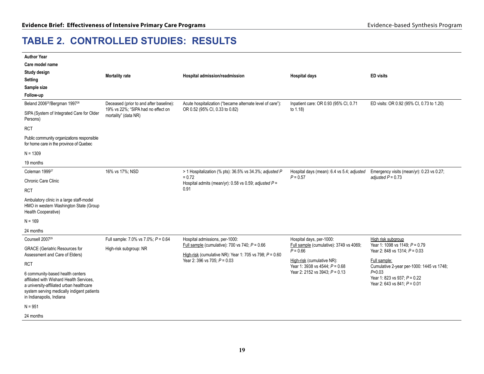### **TABLE 2. CONTROLLED STUDIES: RESULTS**

| <b>Author Year</b>                                                                                                                                                                                 |                                                            |                                                                                                               |                                                                |                                                                              |
|----------------------------------------------------------------------------------------------------------------------------------------------------------------------------------------------------|------------------------------------------------------------|---------------------------------------------------------------------------------------------------------------|----------------------------------------------------------------|------------------------------------------------------------------------------|
| Care model name                                                                                                                                                                                    |                                                            |                                                                                                               |                                                                |                                                                              |
| Study design                                                                                                                                                                                       | <b>Mortality rate</b>                                      | Hospital admission/readmission                                                                                | <b>Hospital days</b>                                           | <b>ED</b> visits                                                             |
| <b>Setting</b>                                                                                                                                                                                     |                                                            |                                                                                                               |                                                                |                                                                              |
| Sample size                                                                                                                                                                                        |                                                            |                                                                                                               |                                                                |                                                                              |
| Follow-up                                                                                                                                                                                          |                                                            |                                                                                                               |                                                                |                                                                              |
| Beland 2006 <sup>25</sup> /Bergman 1997 <sup>26</sup>                                                                                                                                              | Deceased (prior to and after baseline):                    | Acute hospitalization ("became alternate level of care"):                                                     | Inpatient care: OR 0.93 (95% CI, 0.71                          | ED visits: OR 0.92 (95% CI, 0.73 to 1.20)                                    |
| SIPA (System of Integrated Care for Older<br>Persons)                                                                                                                                              | 19% vs 22%; "SIPA had no effect on<br>mortality" (data NR) | OR 0.52 (95% CI, 0.33 to 0.82)                                                                                | to 1.18)                                                       |                                                                              |
| <b>RCT</b>                                                                                                                                                                                         |                                                            |                                                                                                               |                                                                |                                                                              |
| Public community organizations responsible<br>for home care in the province of Quebec                                                                                                              |                                                            |                                                                                                               |                                                                |                                                                              |
| $N = 1309$                                                                                                                                                                                         |                                                            |                                                                                                               |                                                                |                                                                              |
| 19 months                                                                                                                                                                                          |                                                            |                                                                                                               |                                                                |                                                                              |
| Coleman 1999 <sup>27</sup>                                                                                                                                                                         | 16% vs 17%; NSD                                            | > 1 Hospitalization (% pts): 36.5% vs 34.3%; adjusted P                                                       | Hospital days (mean): 6.4 vs 5.4; adjusted                     | Emergency visits (mean/yr): 0.23 vs 0.27;                                    |
| Chronic Care Clinic                                                                                                                                                                                |                                                            | $= 0.72$<br>Hospital admits (mean/yr): 0.58 vs 0.59; adjusted $P =$                                           | $P = 0.57$                                                     | adjusted $P = 0.73$                                                          |
| <b>RCT</b>                                                                                                                                                                                         |                                                            | 0.91                                                                                                          |                                                                |                                                                              |
| Ambulatory clinic in a large staff-model<br>HMO in western Washington State (Group<br>Health Cooperative)                                                                                          |                                                            |                                                                                                               |                                                                |                                                                              |
| $N = 169$                                                                                                                                                                                          |                                                            |                                                                                                               |                                                                |                                                                              |
| 24 months                                                                                                                                                                                          |                                                            |                                                                                                               |                                                                |                                                                              |
| Counsell 2007 <sup>29</sup>                                                                                                                                                                        | Full sample: 7.0% vs 7.0%; $P = 0.64$                      | Hospital admissions, per-1000:                                                                                | Hospital days, per-1000:                                       | High risk subgroup                                                           |
| <b>GRACE</b> (Geriatric Resources for<br>Assessment and Care of Elders)                                                                                                                            | High-risk subgroup: NR                                     | Full sample (cumulative): 700 vs 740; $P = 0.66$<br>High-risk (cumulative NR): Year 1: 705 vs 798; $P = 0.60$ | Full sample (cumulative): 3749 vs 4069;<br>$P = 0.66$          | Year 1: 1098 vs 1149; P = 0.79<br>Year 2: 848 vs 1314; P = 0.03              |
| <b>RCT</b>                                                                                                                                                                                         |                                                            | Year 2: 396 vs 705; $P = 0.03$                                                                                | High-risk (cumulative NR):<br>Year 1: 3938 vs 4544; $P = 0.68$ | Full sample:<br>Cumulative 2-year per-1000: 1445 vs 1748;                    |
| 6 community-based health centers<br>affiliated with Wishard Health Services.<br>a university-affiliated urban healthcare<br>system serving medically indigent patients<br>in Indianapolis, Indiana |                                                            |                                                                                                               | Year 2: 2152 vs 3943; $P = 0.13$                               | $P = 0.03$<br>Year 1: 823 vs 937; P = 0.22<br>Year 2: 643 vs 841; $P = 0.01$ |
| $N = 951$                                                                                                                                                                                          |                                                            |                                                                                                               |                                                                |                                                                              |
| 24 months                                                                                                                                                                                          |                                                            |                                                                                                               |                                                                |                                                                              |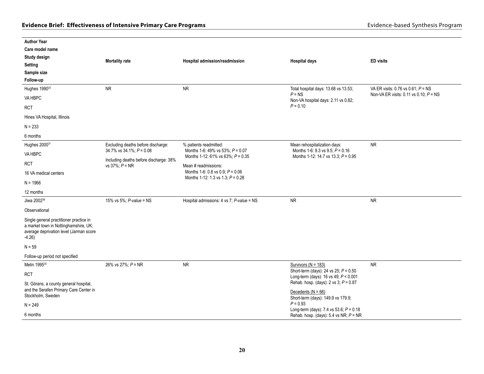| <b>Author Year</b>                                                                                                                     |                                                                                                     |                                                                                                 |                                                                                                                   |                                          |
|----------------------------------------------------------------------------------------------------------------------------------------|-----------------------------------------------------------------------------------------------------|-------------------------------------------------------------------------------------------------|-------------------------------------------------------------------------------------------------------------------|------------------------------------------|
| Care model name                                                                                                                        |                                                                                                     |                                                                                                 |                                                                                                                   |                                          |
| Study design                                                                                                                           |                                                                                                     |                                                                                                 |                                                                                                                   |                                          |
| <b>Setting</b>                                                                                                                         | <b>Mortality rate</b>                                                                               | Hospital admission/readmission                                                                  | <b>Hospital days</b>                                                                                              | <b>ED</b> visits                         |
| Sample size                                                                                                                            |                                                                                                     |                                                                                                 |                                                                                                                   |                                          |
| Follow-up                                                                                                                              |                                                                                                     |                                                                                                 |                                                                                                                   |                                          |
| Hughes 199033                                                                                                                          | <b>NR</b>                                                                                           | <b>NR</b>                                                                                       | Total hospital days: 13.68 vs 13.53;                                                                              | VA ER visits: 0.76 vs 0.61; $P = NS$     |
| VA HBPC                                                                                                                                |                                                                                                     |                                                                                                 | $P = NS$<br>Non-VA hospital days: 2.11 vs 0.82;                                                                   | Non-VA ER visits: 0.11 vs 0.10; $P = NS$ |
| <b>RCT</b>                                                                                                                             |                                                                                                     |                                                                                                 | $P = 0.10$                                                                                                        |                                          |
| Hines VA Hospital, Illinois                                                                                                            |                                                                                                     |                                                                                                 |                                                                                                                   |                                          |
| $N = 233$                                                                                                                              |                                                                                                     |                                                                                                 |                                                                                                                   |                                          |
| 6 months                                                                                                                               |                                                                                                     |                                                                                                 |                                                                                                                   |                                          |
| Hughes 200031                                                                                                                          | Excluding deaths before discharge:                                                                  | % patients readmitted:                                                                          | Mean rehospitalization days:                                                                                      | <b>NR</b>                                |
| VA HBPC                                                                                                                                | $34.7\%$ vs $34.1\%$ : $P = 0.08$<br>Including deaths before discharge: 38%<br>vs $37\%$ ; $P = NR$ | Months 1-6: 49% vs 53%; $P = 0.07$<br>Months 1-12: 61% vs 63%; $P = 0.35$                       | Months 1-6: 9.3 vs 9.5; $P = 0.16$<br>Months 1-12: 14.7 vs 13.3; P = 0.95                                         |                                          |
| <b>RCT</b>                                                                                                                             |                                                                                                     | Mean # readmissions:<br>Months 1-6: 0.8 vs 0.9; $P = 0.06$<br>Months 1-12: 1.3 vs 1.3; P = 0.28 |                                                                                                                   |                                          |
| 16 VA medical centers                                                                                                                  |                                                                                                     |                                                                                                 |                                                                                                                   |                                          |
| $N = 1966$                                                                                                                             |                                                                                                     |                                                                                                 |                                                                                                                   |                                          |
| 12 months                                                                                                                              |                                                                                                     |                                                                                                 |                                                                                                                   |                                          |
| Jiwa 2002 <sup>39</sup>                                                                                                                | 15% vs 5%; P-value = NS                                                                             | Hospital admissions: 4 vs 7; P-value = NS                                                       | ${\sf NR}$                                                                                                        | <b>NR</b>                                |
| Observational                                                                                                                          |                                                                                                     |                                                                                                 |                                                                                                                   |                                          |
| Single general practitioner practice in<br>a market town in Nottinghamshire, UK;<br>average deprivation level (Jarman score<br>$-4.26$ |                                                                                                     |                                                                                                 |                                                                                                                   |                                          |
| $N = 59$                                                                                                                               |                                                                                                     |                                                                                                 |                                                                                                                   |                                          |
| Follow-up period not specified                                                                                                         |                                                                                                     |                                                                                                 |                                                                                                                   |                                          |
| Melin 1995 <sup>30</sup>                                                                                                               | 26% vs 27%; P = NR                                                                                  | <b>NR</b>                                                                                       | Survivors ( $N = 183$ )                                                                                           | <b>NR</b>                                |
| <b>RCT</b>                                                                                                                             |                                                                                                     |                                                                                                 | Short-term (days): 24 vs 25; $P = 0.50$<br>Long-term (days): 16 vs 49; $P < 0.001$                                |                                          |
| St. Görans, a county general hospital,<br>and the Serafen Primary Care Center in<br>Stockholm, Sweden                                  |                                                                                                     |                                                                                                 | Rehab. hosp. (days): $2 \text{ vs } 3$ ; $P = 0.87$<br>Decedents $(N = 66)$<br>Short-term (days): 149.9 vs 179.9; |                                          |
| $N = 249$                                                                                                                              |                                                                                                     |                                                                                                 | $P = 0.93$                                                                                                        |                                          |
| 6 months                                                                                                                               |                                                                                                     |                                                                                                 | Long-term (days): 7.4 vs 53.6; $P = 0.18$<br>Rehab. hosp. (days): 5.4 vs NR; $P = NR$                             |                                          |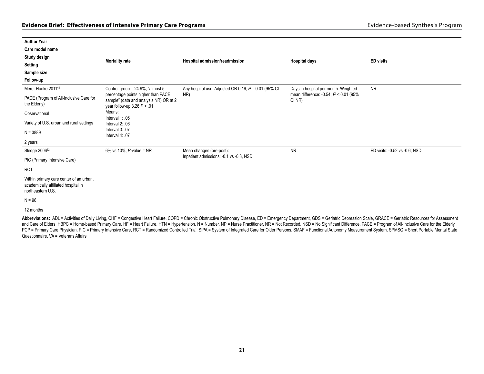| <b>Author Year</b>                                                                                  |                                                                                                               |                                                        |                                                   |                               |  |
|-----------------------------------------------------------------------------------------------------|---------------------------------------------------------------------------------------------------------------|--------------------------------------------------------|---------------------------------------------------|-------------------------------|--|
| Care model name                                                                                     |                                                                                                               |                                                        |                                                   |                               |  |
| Study design                                                                                        | <b>Mortality rate</b>                                                                                         | Hospital admission/readmission                         | <b>Hospital days</b>                              | <b>ED</b> visits              |  |
| <b>Setting</b>                                                                                      |                                                                                                               |                                                        |                                                   |                               |  |
| Sample size                                                                                         |                                                                                                               |                                                        |                                                   |                               |  |
| Follow-up                                                                                           |                                                                                                               |                                                        |                                                   |                               |  |
| Meret-Hanke 201141                                                                                  | Control group = 24.9%, "almost 5                                                                              | Any hospital use: Adjusted OR 0.16; $P = 0.01$ (95% CI | Days in hospital per month: Weighted              | <b>NR</b>                     |  |
| PACE (Program of All-Inclusive Care for<br>the Elderly)                                             | percentage points higher than PACE<br>sample" (data and analysis NR) OR at 2<br>year follow-up $3.26 P < .01$ | NR)                                                    | mean difference: -0.54; $P < 0.01$ (95%<br>CI NR) |                               |  |
| Observational                                                                                       | Means:<br>Interval $1: .06$                                                                                   |                                                        |                                                   |                               |  |
| Variety of U.S. urban and rural settings                                                            | Interval $2: .06$                                                                                             |                                                        |                                                   |                               |  |
| $N = 3889$                                                                                          | Interval 3: .07<br>Interval 4: .07                                                                            |                                                        |                                                   |                               |  |
| 2 years                                                                                             |                                                                                                               |                                                        |                                                   |                               |  |
| Sledge 2006 <sup>32</sup>                                                                           | 6% vs 10%, $P$ -value = NR                                                                                    | Mean changes (pre-post):                               | <b>NR</b>                                         | ED visits: -0.52 vs -0.6; NSD |  |
| PIC (Primary Intensive Care)                                                                        |                                                                                                               | Inpatient admissions: -0.1 vs -0.3, NSD                |                                                   |                               |  |
| <b>RCT</b>                                                                                          |                                                                                                               |                                                        |                                                   |                               |  |
| Within primary care center of an urban,<br>academically affiliated hospital in<br>northeastern U.S. |                                                                                                               |                                                        |                                                   |                               |  |
| $N = 96$                                                                                            |                                                                                                               |                                                        |                                                   |                               |  |
| 12 months                                                                                           |                                                                                                               |                                                        |                                                   |                               |  |

Abbreviations: ADL = Activities of Daily Living, CHF = Congestive Heart Failure, COPD = Chronic Obstructive Pulmonary Disease, ED = Emergency Department, GDS = Geriatric Depression Scale, GRACE = Geriatric Resources for As and Care of Elders, HBPC = Home-based Primary Care, HF = Heart Failure, HTN = Hypertension, N = Number, NP = Nurse Practitioner, NR = Not Recorded, NSD = No Significant Difference, PACE = Program of All-Inclusive Care for PCP = Primary Care Physician, PIC = Primary Intensive Care, RCT = Randomized Controlled Trial, SIPA = System of Integrated Care for Older Persons, SMAF = Functional Autonomy Measurement System, SPMSQ = Short Portable Menta Questionnaire, VA = Veterans Affairs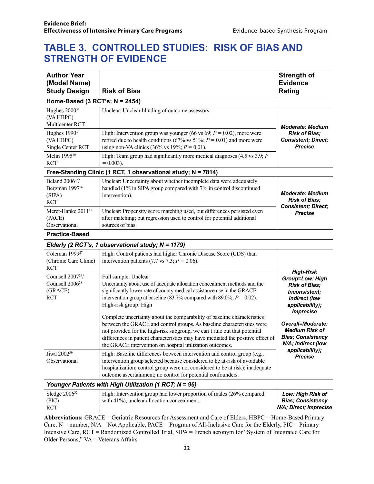### **TABLE 3. CONTROLLED STUDIES: RISK OF BIAS AND STRENGTH OF EVIDENCE**

| <b>Author Year</b><br>(Model Name)<br><b>Study Design</b>                             | <b>Risk of Bias</b>                                                                                                                                                                                                                                                                                                                                                            | <b>Strength of</b><br><b>Evidence</b><br>Rating                                                                                             |
|---------------------------------------------------------------------------------------|--------------------------------------------------------------------------------------------------------------------------------------------------------------------------------------------------------------------------------------------------------------------------------------------------------------------------------------------------------------------------------|---------------------------------------------------------------------------------------------------------------------------------------------|
| Home-Based (3 RCT's; N = 2454)                                                        |                                                                                                                                                                                                                                                                                                                                                                                |                                                                                                                                             |
| Hughes 2000 <sup>31</sup><br>(VA HBPC)<br>Multicenter RCT                             | Unclear: Unclear blinding of outcome assessors.                                                                                                                                                                                                                                                                                                                                | <b>Moderate: Medium</b>                                                                                                                     |
| Hughes 1990 <sup>33</sup><br>(VA HBPC)<br>Single Center RCT                           | High: Intervention group was younger (66 vs 69; $P = 0.02$ ), more were<br>retired due to health conditions (67% vs 51%; $P = 0.01$ ) and more were<br>using non-VA clinics (36% vs 19%; $P = 0.01$ ).                                                                                                                                                                         | <b>Risk of Bias;</b><br><b>Consistent; Direct;</b><br><b>Precise</b>                                                                        |
| Melin 1995 <sup>30</sup><br><b>RCT</b>                                                | High: Team group had significantly more medical diagnoses $(4.5 \text{ vs } 3.9; P)$<br>$= 0.003$ ).                                                                                                                                                                                                                                                                           |                                                                                                                                             |
|                                                                                       | Free-Standing Clinic (1 RCT, 1 observational study; N = 7814)                                                                                                                                                                                                                                                                                                                  |                                                                                                                                             |
| Beland 2006 <sup>25</sup> /<br>Bergman 1997 <sup>26</sup><br>(SIPA)<br><b>RCT</b>     | Unclear: Uncertainty about whether incomplete data were adequately<br>handled (1% in SIPA group compared with 7% in control discontinued<br>intervention).                                                                                                                                                                                                                     | <b>Moderate: Medium</b><br><b>Risk of Bias;</b><br><b>Consistent; Direct;</b>                                                               |
| Meret-Hanke 2011 <sup>41</sup><br>(PACE)<br>Observational                             | Unclear: Propensity score matching used, but differences persisted even<br>after matching; but regression used to control for potential additional<br>sources of bias.                                                                                                                                                                                                         | <b>Precise</b>                                                                                                                              |
| <b>Practice-Based</b>                                                                 |                                                                                                                                                                                                                                                                                                                                                                                |                                                                                                                                             |
|                                                                                       | Elderly (2 RCT's, 1 observational study; N = 1179)                                                                                                                                                                                                                                                                                                                             |                                                                                                                                             |
| Coleman 1999 <sup>27</sup><br>(Chronic Care Clinic)<br><b>RCT</b>                     | High: Control patients had higher Chronic Disease Score (CDS) than<br>intervention patients (7.7 vs 7.3; $P = 0.06$ ).                                                                                                                                                                                                                                                         |                                                                                                                                             |
| Counsell 2007 <sup>29</sup> /<br>Counsell 2006 <sup>28</sup><br>(GRACE)<br><b>RCT</b> | Full sample: Unclear<br>Uncertainty about use of adequate allocation concealment methods and the<br>significantly lower rate of county medical assistance use in the GRACE<br>intervention group at baseline (83.7% compared with 89.0%; $P = 0.02$ ).<br>High-risk group: High                                                                                                | <b>High-Risk</b><br>Group=Low: High<br><b>Risk of Bias;</b><br>Inconsistent;<br><b>Indirect (low</b><br>applicability);<br><b>Imprecise</b> |
|                                                                                       | Complete uncertainty about the comparability of baseline characteristics<br>between the GRACE and control groups. As baseline characteristics were<br>not provided for the high-risk subgroup, we can't rule out that potential<br>differences in patient characteristics may have mediated the positive effect of<br>the GRACE intervention on hospital utilization outcomes. | Overall=Moderate:<br><b>Medium Risk of</b><br><b>Bias; Consistency</b><br>N/A; Indirect (low                                                |
| Jiwa 2002 <sup>39</sup><br>Observational                                              | High: Baseline differences between intervention and control group (e.g.,<br>intervention group selected because considered to be at-risk of avoidable<br>hospitalization; control group were not considered to be at risk); inadequate<br>outcome ascertainment; no control for potential confounders.                                                                         | applicability);<br><b>Precise</b>                                                                                                           |
|                                                                                       | Younger Patients with High Utilization (1 RCT; N = 96)                                                                                                                                                                                                                                                                                                                         |                                                                                                                                             |
| Sledge 2006 <sup>32</sup><br>(PIC)<br><b>RCT</b>                                      | High: Intervention group had lower proportion of males (26% compared<br>with 41%), unclear allocation concealment.                                                                                                                                                                                                                                                             | Low: High Risk of<br><b>Bias; Consistency</b><br>N/A; Direct; Imprecise                                                                     |

**Abbreviations:** GRACE = Geriatric Resources for Assessment and Care of Elders, HBPC = Home-Based Primary Care,  $N =$  number,  $N/A = Not$  Applicable,  $PACE = Program$  of All-Inclusive Care for the Elderly,  $PIC = Primary$ Intensive Care, RCT = Randomized Controlled Trial, SIPA = French acronym for "System of Integrated Care for Older Persons," VA = Veterans Affairs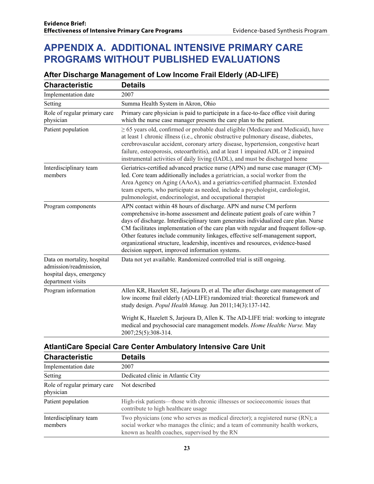### **APPENDIX A. ADDITIONAL INTENSIVE PRIMARY CARE PROGRAMS WITHOUT PUBLISHED EVALUATIONS**

#### **After Discharge Management of Low Income Frail Elderly (AD-LIFE)**

| <b>Characteristic</b>                                                                                  | <b>Details</b>                                                                                                                                                                                                                                                                                                                                                                                                                                                                                                                                          |
|--------------------------------------------------------------------------------------------------------|---------------------------------------------------------------------------------------------------------------------------------------------------------------------------------------------------------------------------------------------------------------------------------------------------------------------------------------------------------------------------------------------------------------------------------------------------------------------------------------------------------------------------------------------------------|
| Implementation date                                                                                    | 2007                                                                                                                                                                                                                                                                                                                                                                                                                                                                                                                                                    |
| Setting                                                                                                | Summa Health System in Akron, Ohio                                                                                                                                                                                                                                                                                                                                                                                                                                                                                                                      |
| Role of regular primary care<br>physician                                                              | Primary care physician is paid to participate in a face-to-face office visit during<br>which the nurse case manager presents the care plan to the patient.                                                                                                                                                                                                                                                                                                                                                                                              |
| Patient population                                                                                     | $\geq$ 65 years old, confirmed or probable dual eligible (Medicare and Medicaid), have<br>at least 1 chronic illness (i.e., chronic obstructive pulmonary disease, diabetes,<br>cerebrovascular accident, coronary artery disease, hypertension, congestive heart<br>failure, osteoporosis, osteoarthritis), and at least 1 impaired ADL or 2 impaired<br>instrumental activities of daily living (IADL), and must be discharged home                                                                                                                   |
| Interdisciplinary team<br>members                                                                      | Geriatrics-certified advanced practice nurse (APN) and nurse case manager (CM)-<br>led. Core team additionally includes a geriatrician, a social worker from the<br>Area Agency on Aging (AAoA), and a geriatrics-certified pharmacist. Extended<br>team experts, who participate as needed, include a psychologist, cardiologist,<br>pulmonologist, endocrinologist, and occupational therapist                                                                                                                                                        |
| Program components                                                                                     | APN contact within 48 hours of discharge. APN and nurse CM perform<br>comprehensive in-home assessment and delineate patient goals of care within 7<br>days of discharge. Interdisciplinary team generates individualized care plan. Nurse<br>CM facilitates implementation of the care plan with regular and frequent follow-up.<br>Other features include community linkages, effective self-management support,<br>organizational structure, leadership, incentives and resources, evidence-based<br>decision support, improved information systems. |
| Data on mortality, hospital<br>admission/readmission,<br>hospital days, emergency<br>department visits | Data not yet available. Randomized controlled trial is still ongoing.                                                                                                                                                                                                                                                                                                                                                                                                                                                                                   |
| Program information                                                                                    | Allen KR, Hazelett SE, Jarjoura D, et al. The after discharge care management of<br>low income frail elderly (AD-LIFE) randomized trial: theoretical framework and<br>study design. Popul Health Manag. Jun 2011;14(3):137-142.                                                                                                                                                                                                                                                                                                                         |
|                                                                                                        | Wright K, Hazelett S, Jarjoura D, Allen K. The AD-LIFE trial: working to integrate<br>medical and psychosocial care management models. Home Healthc Nurse. May<br>2007;25(5):308-314.                                                                                                                                                                                                                                                                                                                                                                   |

**AtlantiCare Special Care Center Ambulatory Intensive Care Unit**

| <b>Characteristic</b>                     | <b>Details</b>                                                                                                                                                                                                    |
|-------------------------------------------|-------------------------------------------------------------------------------------------------------------------------------------------------------------------------------------------------------------------|
| Implementation date                       | 2007                                                                                                                                                                                                              |
| Setting                                   | Dedicated clinic in Atlantic City                                                                                                                                                                                 |
| Role of regular primary care<br>physician | Not described                                                                                                                                                                                                     |
| Patient population                        | High-risk patients—those with chronic illnesses or socioeconomic issues that<br>contribute to high healthcare usage                                                                                               |
| Interdisciplinary team<br>members         | Two physicians (one who serves as medical director); a registered nurse (RN); a<br>social worker who manages the clinic; and a team of community health workers,<br>known as health coaches, supervised by the RN |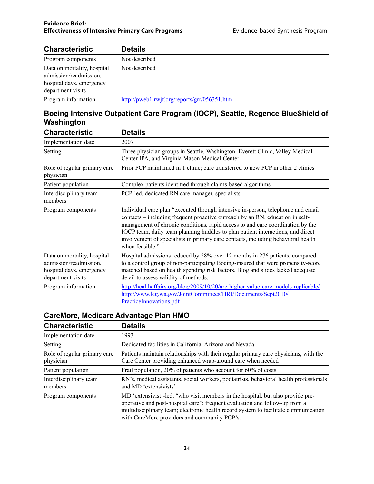| <b>Characteristic</b>                                                                                  | <b>Details</b>                               |
|--------------------------------------------------------------------------------------------------------|----------------------------------------------|
| Program components                                                                                     | Not described                                |
| Data on mortality, hospital<br>admission/readmission,<br>hospital days, emergency<br>department visits | Not described                                |
| Program information                                                                                    | http://pweb1.rwjf.org/reports/grr/056351.htm |

#### **Boeing Intensive Outpatient Care Program (IOCP), Seattle, Regence BlueShield of Washington**

| <b>Characteristic</b>                                                                                  | <b>Details</b>                                                                                                                                                                                                                                                                                                                                                                                                                                |
|--------------------------------------------------------------------------------------------------------|-----------------------------------------------------------------------------------------------------------------------------------------------------------------------------------------------------------------------------------------------------------------------------------------------------------------------------------------------------------------------------------------------------------------------------------------------|
| Implementation date                                                                                    | 2007                                                                                                                                                                                                                                                                                                                                                                                                                                          |
| Setting                                                                                                | Three physician groups in Seattle, Washington: Everett Clinic, Valley Medical<br>Center IPA, and Virginia Mason Medical Center                                                                                                                                                                                                                                                                                                                |
| Role of regular primary care<br>physician                                                              | Prior PCP maintained in 1 clinic; care transferred to new PCP in other 2 clinics                                                                                                                                                                                                                                                                                                                                                              |
| Patient population                                                                                     | Complex patients identified through claims-based algorithms                                                                                                                                                                                                                                                                                                                                                                                   |
| Interdisciplinary team<br>members                                                                      | PCP-led, dedicated RN care manager, specialists                                                                                                                                                                                                                                                                                                                                                                                               |
| Program components                                                                                     | Individual care plan "executed through intensive in-person, telephonic and email<br>contacts – including frequent proactive outreach by an RN, education in self-<br>management of chronic conditions, rapid access to and care coordination by the<br>IOCP team, daily team planning huddles to plan patient interactions, and direct<br>involvement of specialists in primary care contacts, including behavioral health<br>when feasible." |
| Data on mortality, hospital<br>admission/readmission,<br>hospital days, emergency<br>department visits | Hospital admissions reduced by 28% over 12 months in 276 patients, compared<br>to a control group of non-participating Boeing-insured that were propensity-score<br>matched based on health spending risk factors. Blog and slides lacked adequate<br>detail to assess validity of methods.                                                                                                                                                   |
| Program information                                                                                    | http://healthaffairs.org/blog/2009/10/20/are-higher-value-care-models-replicable/<br>http://www.leg.wa.gov/JointCommittees/HRI/Documents/Sept2010/<br>PracticeInnovations.pdf                                                                                                                                                                                                                                                                 |

### **CareMore, Medicare Advantage Plan HMO**

| <b>Characteristic</b>                     | Details                                                                                                                                                                                                                                                                                               |
|-------------------------------------------|-------------------------------------------------------------------------------------------------------------------------------------------------------------------------------------------------------------------------------------------------------------------------------------------------------|
| Implementation date                       | 1993                                                                                                                                                                                                                                                                                                  |
| Setting                                   | Dedicated facilities in California, Arizona and Nevada                                                                                                                                                                                                                                                |
| Role of regular primary care<br>physician | Patients maintain relationships with their regular primary care physicians, with the<br>Care Center providing enhanced wrap-around care when needed                                                                                                                                                   |
| Patient population                        | Frail population, 20% of patients who account for 60% of costs                                                                                                                                                                                                                                        |
| Interdisciplinary team<br>members         | RN's, medical assistants, social workers, podiatrists, behavioral health professionals<br>and MD 'extensivists'                                                                                                                                                                                       |
| Program components                        | MD 'extensivist'-led, "who visit members in the hospital, but also provide pre-<br>operative and post-hospital care"; frequent evaluation and follow-up from a<br>multidisciplinary team; electronic health record system to facilitate communication<br>with CareMore providers and community PCP's. |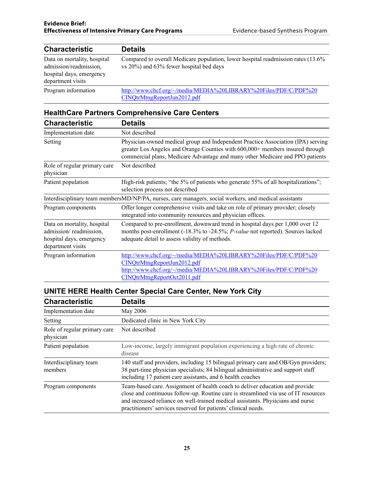| <b>Characteristic</b>                                                                                  | <b>Details</b>                                                                                                               |
|--------------------------------------------------------------------------------------------------------|------------------------------------------------------------------------------------------------------------------------------|
| Data on mortality, hospital<br>admission/readmission,<br>hospital days, emergency<br>department visits | Compared to overall Medicare population, lower hospital readmission rates (13.6%)<br>vs 20%) and 63% fewer hospital bed days |
| Program information                                                                                    | http://www.chcf.org/~/media/MEDIA%20LIBRARY%20Files/PDF/C/PDF%20<br>CINQtrMtngReportJun2012.pdf                              |

#### **HealthCare Partners Comprehensive Care Centers**

| <b>Characteristic</b>                                                                                  | <b>Details</b>                                                                                                                                                                                                                                     |
|--------------------------------------------------------------------------------------------------------|----------------------------------------------------------------------------------------------------------------------------------------------------------------------------------------------------------------------------------------------------|
| Implementation date                                                                                    | Not described                                                                                                                                                                                                                                      |
| Setting                                                                                                | Physician-owned medical group and Independent Practice Association (IPA) serving<br>greater Los Angeles and Orange Counties with 600,000+ members insured through<br>commercial plans, Medicare Advantage and many other Medicare and PPO patients |
| Role of regular primary care<br>physician                                                              | Not described                                                                                                                                                                                                                                      |
| Patient population                                                                                     | High-risk patients; "the 5% of patients who generate 55% of all hospitalizations";<br>selection process not described                                                                                                                              |
|                                                                                                        | Interdisciplinary team membersMD/NP/PA, nurses, care managers, social workers, and medical assistants                                                                                                                                              |
| Program components                                                                                     | Offer longer comprehensive visits and take on role of primary provider; closely<br>integrated into community resources and physician offices.                                                                                                      |
| Data on mortality, hospital<br>admission/readmission,<br>hospital days, emergency<br>department visits | Compared to pre-enrollment, downward trend in hospital days per 1,000 over 12<br>months post-enrollment (-18.3% to -24.5%; P-value not reported). Sources lacked<br>adequate detail to assess validity of methods.                                 |
| Program information                                                                                    | http://www.chcf.org/~/media/MEDIA%20LIBRARY%20Files/PDF/C/PDF%20<br>CINQtrMtngReportJun2012.pdf<br>http://www.chcf.org/~/media/MEDIA%20LIBRARY%20Files/PDF/C/PDF%20<br>CINQtrMtngReportOct2011.pdf                                                 |

#### **UNITE HERE Health Center Special Care Center, New York City**

| <b>Characteristic</b>                     | <b>Details</b>                                                                                                                                                                                                                                                                                                           |
|-------------------------------------------|--------------------------------------------------------------------------------------------------------------------------------------------------------------------------------------------------------------------------------------------------------------------------------------------------------------------------|
| Implementation date                       | May 2006                                                                                                                                                                                                                                                                                                                 |
| Setting                                   | Dedicated clinic in New York City                                                                                                                                                                                                                                                                                        |
| Role of regular primary care<br>physician | Not described                                                                                                                                                                                                                                                                                                            |
| Patient population                        | Low-income, largely immigrant population experiencing a high rate of chronic<br>disease                                                                                                                                                                                                                                  |
| Interdisciplinary team<br>members         | 140 staff and providers, including 15 bilingual primary care and OB/Gyn providers;<br>38 part-time physician specialists; 84 bilingual administrative and support staff<br>including 17 patient care assistants, and 6 health coaches                                                                                    |
| Program components                        | Team-based care. Assignment of health coach to deliver education and provide<br>close and continuous follow-up. Routine care is streamlined via use of IT resources<br>and increased reliance on well-trained medical assistants. Physicians and nurse<br>practitioners' services reserved for patients' clinical needs. |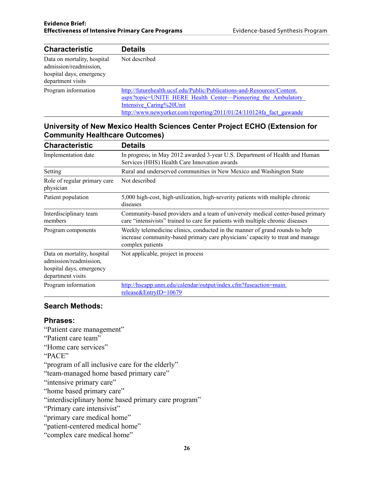| <b>Characteristic</b>                                                                                  | <b>Details</b>                                                                                                                                                                                                                             |
|--------------------------------------------------------------------------------------------------------|--------------------------------------------------------------------------------------------------------------------------------------------------------------------------------------------------------------------------------------------|
| Data on mortality, hospital<br>admission/readmission,<br>hospital days, emergency<br>department visits | Not described                                                                                                                                                                                                                              |
| Program information                                                                                    | http://futurehealth.ucsf.edu/Public/Publications-and-Resources/Content.<br>aspx?topic=UNITE HERE Health Center—Pioneering the Ambulatory<br>Intensive Caring%20Unit<br>http://www.newyorker.com/reporting/2011/01/24/110124fa fact gawande |

#### **University of New Mexico Health Sciences Center Project ECHO (Extension for Community Healthcare Outcomes)**

| <b>Characteristic</b>                                                                                  | <b>Details</b>                                                                                                                                                                     |
|--------------------------------------------------------------------------------------------------------|------------------------------------------------------------------------------------------------------------------------------------------------------------------------------------|
| Implementation date                                                                                    | In progress; in May 2012 awarded 3-year U.S. Department of Health and Human<br>Services (HHS) Health Care Innovation awards                                                        |
| Setting                                                                                                | Rural and underserved communities in New Mexico and Washington State                                                                                                               |
| Role of regular primary care<br>physician                                                              | Not described                                                                                                                                                                      |
| Patient population                                                                                     | 5,000 high-cost, high-utilization, high-severity patients with multiple chronic<br>diseases                                                                                        |
| Interdisciplinary team<br>members                                                                      | Community-based providers and a team of university medical center-based primary<br>care "intensivists" trained to care for patients with multiple chronic diseases                 |
| Program components                                                                                     | Weekly telemedicine clinics, conducted in the manner of grand rounds to help<br>increase community-based primary care physicians' capacity to treat and manage<br>complex patients |
| Data on mortality, hospital<br>admission/readmission,<br>hospital days, emergency<br>department visits | Not applicable, project in process                                                                                                                                                 |
| Program information                                                                                    | http://hscapp.unm.edu/calendar/output/index.cfm?fuseaction=main.<br>release&EntryID= $10679$                                                                                       |

#### **Search Methods:**

#### **Phrases:**

- "Patient care management"
- "Patient care team"
- "Home care services"
- "PACE"
- "program of all inclusive care for the elderly"
- "team-managed home based primary care"
- "intensive primary care"
- "home based primary care"
- "interdisciplinary home based primary care program"
- "Primary care intensivist"
- "primary care medical home"
- "patient-centered medical home"
- "complex care medical home"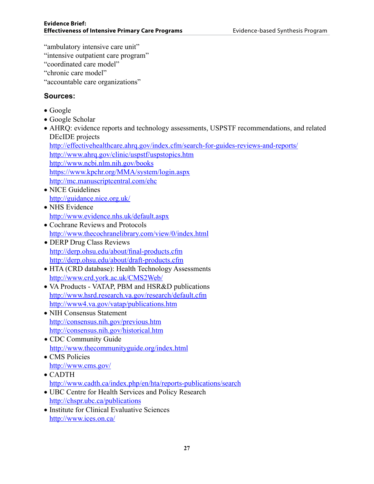- "ambulatory intensive care unit"
- "intensive outpatient care program"
- "coordinated care model"
- "chronic care model"
- "accountable care organizations"

#### **Sources:**

- • Google
- Google Scholar
- AHRQ: evidence reports and technology assessments, USPSTF recommendations, and related DEcIDE projects
- http://effectivehealthcare.ahrq.gov/index.cfm/search-for-guides-reviews-and-reports/ http://www.ahrq.gov/clinic/uspstf/uspstopics.htm http://www.ncbi.nlm.nih.gov/books https://www.kpchr.org/MMA/system/login.aspx
- http://mc.manuscriptcentral.com/ehc
- NICE Guidelines http://guidance.nice.org.uk/
- NHS Evidence http://www.evidence.nhs.uk/default.aspx
- Cochrane Reviews and Protocols http://www.thecochranelibrary.com/view/0/index.html
- DERP Drug Class Reviews http://derp.ohsu.edu/about/final-products.cfm http://derp.ohsu.edu/about/draft-products.cfm
- HTA (CRD database): Health Technology Assessments http://www.crd.york.ac.uk/CMS2Web/
- VA Products VATAP, PBM and HSR&D publications http://www.hsrd.research.va.gov/research/default.cfm http://www4.va.gov/vatap/publications.htm
- NIH Consensus Statement http://consensus.nih.gov/previous.htm http://consensus.nih.gov/historical.htm
- CDC Community Guide http://www.thecommunityguide.org/index.html
- CMS Policies http://www.cms.gov/
- • CADTH http://www.cadth.ca/index.php/en/hta/reports-publications/search
- UBC Centre for Health Services and Policy Research http://chspr.ubc.ca/publications
- Institute for Clinical Evaluative Sciences http://www.ices.on.ca/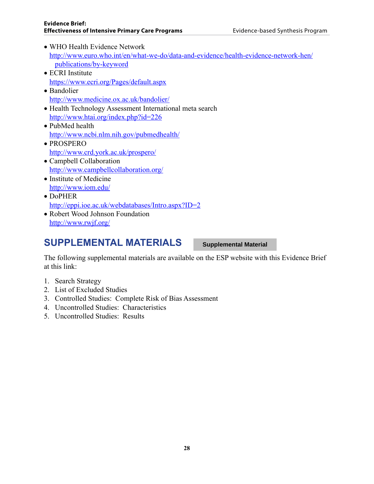- WHO Health Evidence Network http://www.euro.who.int/en/what-we-do/data-and-evidence/health-evidence-network-hen/ publications/by-keyword
- ECRI Institute https://www.ecri.org/Pages/default.aspx
- Bandolier http://www.medicine.ox.ac.uk/bandolier/
- Health Technology Assessment International meta search http://www.htai.org/index.php?id=226
- PubMed health http://www.ncbi.nlm.nih.gov/pubmedhealth/
- • PROSPERO http://www.crd.york.ac.uk/prospero/
- Campbell Collaboration http://www.campbellcollaboration.org/
- Institute of Medicine http://www.iom.edu/
- DoPHER http://eppi.ioe.ac.uk/webdatabases/Intro.aspx?ID=2
- Robert Wood Johnson Foundation http://www.rwjf.org/

### **SUPPLEMENTAL MATERIALS**

**Supplemental Material**

The following supplemental materials are available on the ESP website with this Evidence Brief at this link:

- 1. Search Strategy
- 2. List of Excluded Studies
- 3. Controlled Studies: Complete Risk of Bias Assessment
- 4. Uncontrolled Studies: Characteristics
- 5. Uncontrolled Studies: Results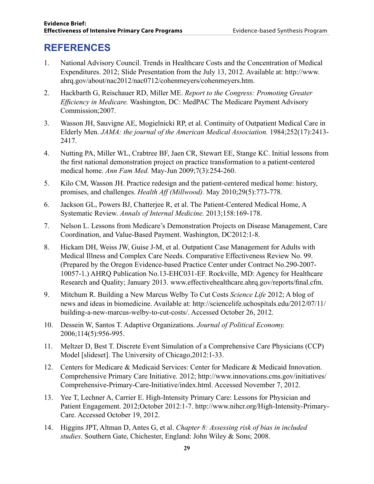### **REFERENCES**

- 1. National Advisory Council. Trends in Healthcare Costs and the Concentration of Medical Expenditures. 2012; Slide Presentation from the July 13, 2012. Available at: http://www. ahrq.gov/about/nac2012/nac0712/cohenmeyers/cohenmeyers.htm.
- 2. Hackbarth G, Reischauer RD, Miller ME. *Report to the Congress: Promoting Greater Efficiency in Medicare.* Washington, DC: MedPAC The Medicare Payment Advisory Commission;2007.
- 3. Wasson JH, Sauvigne AE, Mogielnicki RP, et al. Continuity of Outpatient Medical Care in Elderly Men. *JAMA: the journal of the American Medical Association.* 1984;252(17):2413- 2417.
- 4. Nutting PA, Miller WL, Crabtree BF, Jaen CR, Stewart EE, Stange KC. Initial lessons from the first national demonstration project on practice transformation to a patient-centered medical home. *Ann Fam Med.* May-Jun 2009;7(3):254-260.
- 5. Kilo CM, Wasson JH. Practice redesign and the patient-centered medical home: history, promises, and challenges. *Health Aff (Millwood).* May 2010;29(5):773-778.
- 6. Jackson GL, Powers BJ, Chatterjee R, et al. The Patient-Centered Medical Home, A Systematic Review. *Annals of Internal Medicine.* 2013;158:169-178.
- 7. Nelson L. Lessons from Medicare's Demonstration Projects on Disease Management, Care Coordination, and Value-Based Payment. Washington, DC2012:1-8.
- 8. Hickam DH, Weiss JW, Guise J-M, et al. Outpatient Case Management for Adults with Medical Illness and Complex Care Needs. Comparative Effectiveness Review No. 99. (Prepared by the Oregon Evidence-based Practice Center under Contract No.290-2007- 10057-1.) AHRQ Publication No.13-EHC031-EF. Rockville, MD: Agency for Healthcare Research and Quality; January 2013. www.effectivehealthcare.ahrq.gov/reports/final.cfm.
- 9. Mitchum R. Building a New Marcus Welby To Cut Costs *Science Life* 2012; A blog of news and ideas in biomedicine. Available at: http://sciencelife.uchospitals.edu/2012/07/11/ building-a-new-marcus-welby-to-cut-costs/. Accessed October 26, 2012.
- 10. Dessein W, Santos T. Adaptive Organizations. *Journal of Political Economy.*  2006;114(5):956-995.
- 11. Meltzer D, Best T. Discrete Event Simulation of a Comprehensive Care Physicians (CCP) Model [slideset]. The University of Chicago, 2012:1-33.
- 12. Centers for Medicare & Medicaid Services: Center for Medicare & Medicaid Innovation. Comprehensive Primary Care Initiative. 2012; http://www.innovations.cms.gov/initiatives/ Comprehensive-Primary-Care-Initiative/index.html. Accessed November 7, 2012.
- 13. Yee T, Lechner A, Carrier E. High-Intensity Primary Care: Lessons for Physician and Patient Engagement. 2012;October 2012:1-7. http://www.nihcr.org/High-Intensity-Primary-Care. Accessed October 19, 2012.
- 14. Higgins JPT, Altman D, Antes G, et al. *Chapter 8: Assessing risk of bias in included studies*. Southern Gate, Chichester, England: John Wiley & Sons; 2008.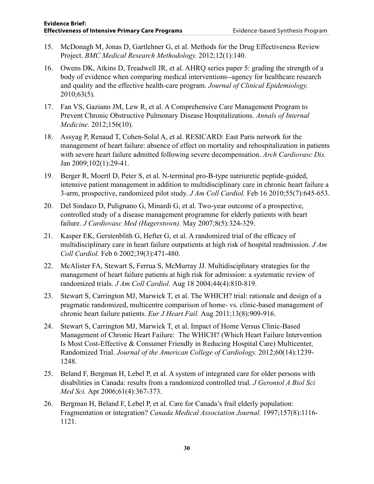- 15. McDonagh M, Jonas D, Gartlehner G, et al. Methods for the Drug Effectiveness Review Project. *BMC Medical Research Methodology.* 2012;12(1):140.
- 16. Owens DK, Atkins D, Treadwell JR, et al. AHRQ series paper 5: grading the strength of a body of evidence when comparing medical interventions--agency for healthcare research and quality and the effective health-care program. *Journal of Clinical Epidemiology.*  2010;63(5).
- 17. Fan VS, Gaziano JM, Lew R, et al. A Comprehensive Care Management Program to Prevent Chronic Obstructive Pulmonary Disease Hospitalizations. *Annals of Internal Medicine.* 2012;156(10).
- 18. Assyag P, Renaud T, Cohen-Solal A, et al. RESICARD: East Paris network for the management of heart failure: absence of effect on mortality and rehospitalization in patients with severe heart failure admitted following severe decompensation. *Arch Cardiovasc Dis.*  Jan 2009;102(1):29-41.
- 19. Berger R, Moertl D, Peter S, et al. N-terminal pro-B-type natriuretic peptide-guided, intensive patient management in addition to multidisciplinary care in chronic heart failure a 3-arm, prospective, randomized pilot study. *J Am Coll Cardiol.* Feb 16 2010;55(7):645-653.
- 20. Del Sindaco D, Pulignano G, Minardi G, et al. Two-year outcome of a prospective, controlled study of a disease management programme for elderly patients with heart failure. *J Cardiovasc Med (Hagerstown).* May 2007;8(5):324-329.
- 21. Kasper EK, Gerstenblith G, Hefter G, et al. A randomized trial of the efficacy of multidisciplinary care in heart failure outpatients at high risk of hospital readmission. *J Am Coll Cardiol.* Feb 6 2002;39(3):471-480.
- 22. McAlister FA, Stewart S, Ferrua S, McMurray JJ. Multidisciplinary strategies for the management of heart failure patients at high risk for admission: a systematic review of randomized trials. *J Am Coll Cardiol.* Aug 18 2004;44(4):810-819.
- 23. Stewart S, Carrington MJ, Marwick T, et al. The WHICH? trial: rationale and design of a pragmatic randomized, multicentre comparison of home- vs. clinic-based management of chronic heart failure patients. *Eur J Heart Fail.* Aug 2011;13(8):909-916.
- 24. Stewart S, Carrington MJ, Marwick T, et al. Impact of Home Versus Clinic-Based Management of Chronic Heart Failure: The WHICH? (Which Heart Failure Intervention Is Most Cost-Effective & Consumer Friendly in Reducing Hospital Care) Multicenter, Randomized Trial. *Journal of the American College of Cardiology.* 2012;60(14):1239- 1248.
- 25. Beland F, Bergman H, Lebel P, et al. A system of integrated care for older persons with disabilities in Canada: results from a randomized controlled trial. *J Gerontol A Biol Sci Med Sci.* Apr 2006;61(4):367-373.
- 26. Bergman H, Beland F, Lebel P, et al. Care for Canada's frail elderly population: Fragmentation or integration? *Canada Medical Association Journal.* 1997;157(8):1116- 1121.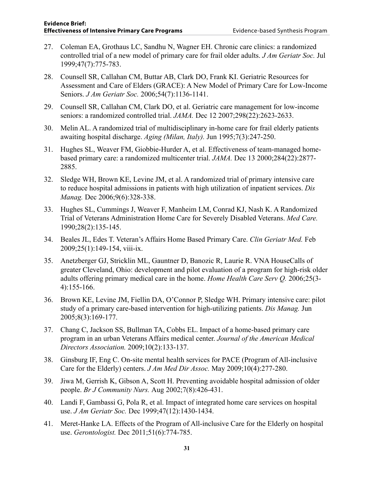- 27. Coleman EA, Grothaus LC, Sandhu N, Wagner EH. Chronic care clinics: a randomized controlled trial of a new model of primary care for frail older adults. *J Am Geriatr Soc.* Jul 1999;47(7):775-783.
- 28. Counsell SR, Callahan CM, Buttar AB, Clark DO, Frank KI. Geriatric Resources for Assessment and Care of Elders (GRACE): A New Model of Primary Care for Low-Income Seniors. *J Am Geriatr Soc.* 2006;54(7):1136-1141.
- 29. Counsell SR, Callahan CM, Clark DO, et al. Geriatric care management for low-income seniors: a randomized controlled trial. *JAMA.* Dec 12 2007;298(22):2623-2633.
- 30. Melin AL. A randomized trial of multidisciplinary in-home care for frail elderly patients awaiting hospital discharge. *Aging (Milan, Italy).* Jun 1995;7(3):247-250.
- 31. Hughes SL, Weaver FM, Giobbie-Hurder A, et al. Effectiveness of team-managed homebased primary care: a randomized multicenter trial. *JAMA.* Dec 13 2000;284(22):2877- 2885.
- 32. Sledge WH, Brown KE, Levine JM, et al. A randomized trial of primary intensive care to reduce hospital admissions in patients with high utilization of inpatient services. *Dis Manag.* Dec 2006;9(6):328-338.
- 33. Hughes SL, Cummings J, Weaver F, Manheim LM, Conrad KJ, Nash K. A Randomized Trial of Veterans Administration Home Care for Severely Disabled Veterans. *Med Care.*  1990;28(2):135-145.
- 34. Beales JL, Edes T. Veteran's Affairs Home Based Primary Care. *Clin Geriatr Med.* Feb 2009;25(1):149-154, viii-ix.
- 35. Anetzberger GJ, Stricklin ML, Gauntner D, Banozic R, Laurie R. VNA HouseCalls of greater Cleveland, Ohio: development and pilot evaluation of a program for high-risk older adults offering primary medical care in the home. *Home Health Care Serv Q.* 2006;25(3- 4):155-166.
- 36. Brown KE, Levine JM, Fiellin DA, O'Connor P, Sledge WH. Primary intensive care: pilot study of a primary care-based intervention for high-utilizing patients. *Dis Manag.* Jun 2005;8(3):169-177.
- 37. Chang C, Jackson SS, Bullman TA, Cobbs EL. Impact of a home-based primary care program in an urban Veterans Affairs medical center. *Journal of the American Medical Directors Association.* 2009;10(2):133-137.
- 38. Ginsburg IF, Eng C. On-site mental health services for PACE (Program of All-inclusive Care for the Elderly) centers. *J Am Med Dir Assoc.* May 2009;10(4):277-280.
- 39. Jiwa M, Gerrish K, Gibson A, Scott H. Preventing avoidable hospital admission of older people. *Br J Community Nurs.* Aug 2002;7(8):426-431.
- 40. Landi F, Gambassi G, Pola R, et al. Impact of integrated home care services on hospital use. *J Am Geriatr Soc.* Dec 1999;47(12):1430-1434.
- 41. Meret-Hanke LA. Effects of the Program of All-inclusive Care for the Elderly on hospital use. *Gerontologist.* Dec 2011;51(6):774-785.